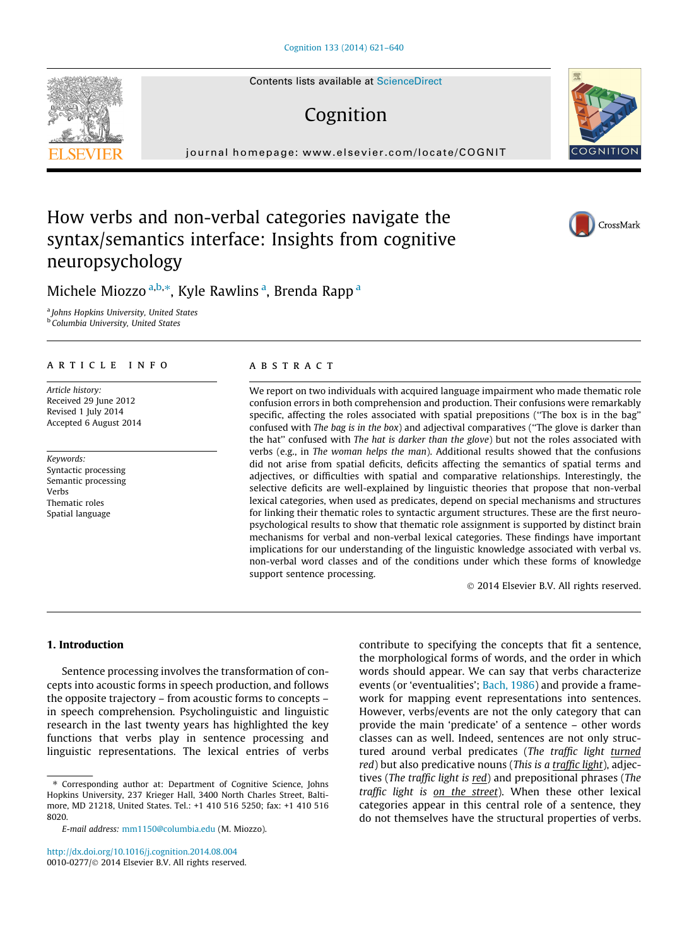Contents lists available at [ScienceDirect](http://www.sciencedirect.com/science/journal/00100277)

# Cognition

journal homepage: [www.elsevier.com/locate/COGNIT](http://www.elsevier.com/locate/COGNIT)

# How verbs and non-verbal categories navigate the syntax/semantics interface: Insights from cognitive neuropsychology

Michele Miozzo <sup>a,b,</sup>\*, Kyle Rawlins <sup>a</sup>, Brenda Rapp <sup>a</sup>

<sup>a</sup> Johns Hopkins University, United States **b** Columbia University, United States

# article info

Article history: Received 29 June 2012 Revised 1 July 2014 Accepted 6 August 2014

Keywords: Syntactic processing Semantic processing Verbs Thematic roles Spatial language

# ABSTRACT

We report on two individuals with acquired language impairment who made thematic role confusion errors in both comprehension and production. Their confusions were remarkably specific, affecting the roles associated with spatial prepositions (''The box is in the bag'' confused with The bag is in the box) and adjectival comparatives (''The glove is darker than the hat" confused with The hat is darker than the glove) but not the roles associated with verbs (e.g., in The woman helps the man). Additional results showed that the confusions did not arise from spatial deficits, deficits affecting the semantics of spatial terms and adjectives, or difficulties with spatial and comparative relationships. Interestingly, the selective deficits are well-explained by linguistic theories that propose that non-verbal lexical categories, when used as predicates, depend on special mechanisms and structures for linking their thematic roles to syntactic argument structures. These are the first neuropsychological results to show that thematic role assignment is supported by distinct brain mechanisms for verbal and non-verbal lexical categories. These findings have important implications for our understanding of the linguistic knowledge associated with verbal vs. non-verbal word classes and of the conditions under which these forms of knowledge support sentence processing.

- 2014 Elsevier B.V. All rights reserved.

# 1. Introduction

Sentence processing involves the transformation of concepts into acoustic forms in speech production, and follows the opposite trajectory – from acoustic forms to concepts – in speech comprehension. Psycholinguistic and linguistic research in the last twenty years has highlighted the key functions that verbs play in sentence processing and linguistic representations. The lexical entries of verbs

<http://dx.doi.org/10.1016/j.cognition.2014.08.004>

0010-0277/© 2014 Elsevier B.V. All rights reserved.

contribute to specifying the concepts that fit a sentence, the morphological forms of words, and the order in which words should appear. We can say that verbs characterize events (or 'eventualities'; [Bach, 1986\)](#page-17-0) and provide a framework for mapping event representations into sentences. However, verbs/events are not the only category that can provide the main 'predicate' of a sentence – other words classes can as well. Indeed, sentences are not only structured around verbal predicates (The traffic light turned red) but also predicative nouns (This is a traffic light), adjectives (The traffic light is red) and prepositional phrases (The traffic light is on the street). When these other lexical categories appear in this central role of a sentence, they do not themselves have the structural properties of verbs.







<sup>⇑</sup> Corresponding author at: Department of Cognitive Science, Johns Hopkins University, 237 Krieger Hall, 3400 North Charles Street, Baltimore, MD 21218, United States. Tel.: +1 410 516 5250; fax: +1 410 516 8020.

E-mail address: [mm1150@columbia.edu](mailto:mm1150@columbia.edu) (M. Miozzo).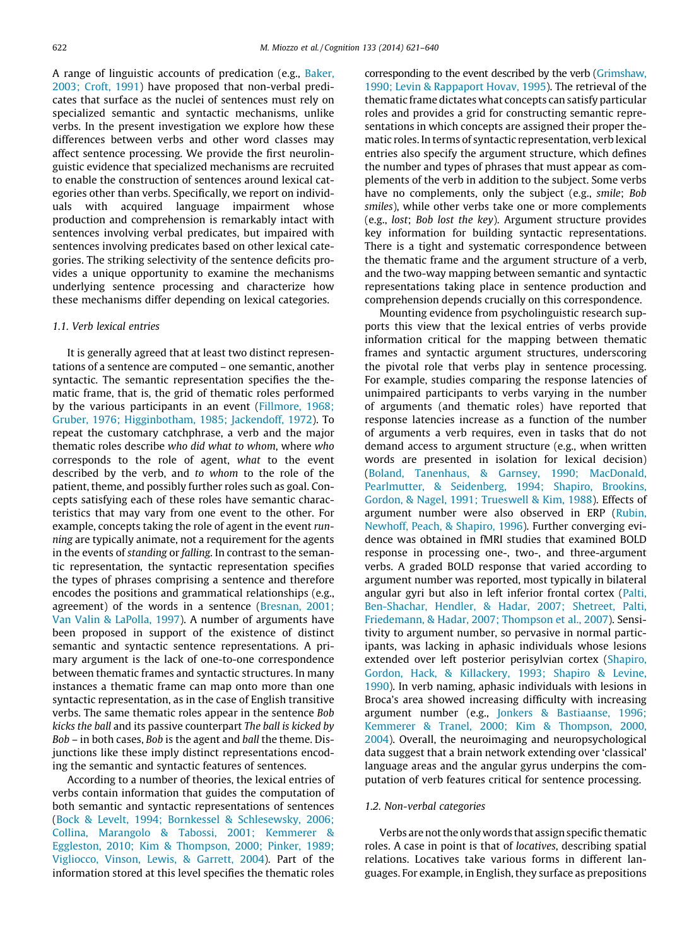A range of linguistic accounts of predication (e.g., [Baker,](#page-17-0) [2003; Croft, 1991](#page-17-0)) have proposed that non-verbal predicates that surface as the nuclei of sentences must rely on specialized semantic and syntactic mechanisms, unlike verbs. In the present investigation we explore how these differences between verbs and other word classes may affect sentence processing. We provide the first neurolinguistic evidence that specialized mechanisms are recruited to enable the construction of sentences around lexical categories other than verbs. Specifically, we report on individuals with acquired language impairment whose production and comprehension is remarkably intact with sentences involving verbal predicates, but impaired with sentences involving predicates based on other lexical categories. The striking selectivity of the sentence deficits provides a unique opportunity to examine the mechanisms underlying sentence processing and characterize how these mechanisms differ depending on lexical categories.

# 1.1. Verb lexical entries

It is generally agreed that at least two distinct representations of a sentence are computed – one semantic, another syntactic. The semantic representation specifies the thematic frame, that is, the grid of thematic roles performed by the various participants in an event [\(Fillmore, 1968;](#page-18-0) [Gruber, 1976; Higginbotham, 1985; Jackendoff, 1972](#page-18-0)). To repeat the customary catchphrase, a verb and the major thematic roles describe who did what to whom, where who corresponds to the role of agent, what to the event described by the verb, and to whom to the role of the patient, theme, and possibly further roles such as goal. Concepts satisfying each of these roles have semantic characteristics that may vary from one event to the other. For example, concepts taking the role of agent in the event running are typically animate, not a requirement for the agents in the events of standing or falling. In contrast to the semantic representation, the syntactic representation specifies the types of phrases comprising a sentence and therefore encodes the positions and grammatical relationships (e.g., agreement) of the words in a sentence [\(Bresnan, 2001;](#page-18-0) [Van Valin & LaPolla, 1997](#page-18-0)). A number of arguments have been proposed in support of the existence of distinct semantic and syntactic sentence representations. A primary argument is the lack of one-to-one correspondence between thematic frames and syntactic structures. In many instances a thematic frame can map onto more than one syntactic representation, as in the case of English transitive verbs. The same thematic roles appear in the sentence Bob kicks the ball and its passive counterpart The ball is kicked by Bob – in both cases, Bob is the agent and ball the theme. Disjunctions like these imply distinct representations encoding the semantic and syntactic features of sentences.

According to a number of theories, the lexical entries of verbs contain information that guides the computation of both semantic and syntactic representations of sentences [\(Bock & Levelt, 1994; Bornkessel & Schlesewsky, 2006;](#page-17-0) [Collina, Marangolo & Tabossi, 2001; Kemmerer &](#page-17-0) [Eggleston, 2010; Kim & Thompson, 2000; Pinker, 1989;](#page-17-0) [Vigliocco, Vinson, Lewis, & Garrett, 2004](#page-17-0)). Part of the information stored at this level specifies the thematic roles

corresponding to the event described by the verb [\(Grimshaw,](#page-18-0) [1990; Levin & Rappaport Hovav, 1995\)](#page-18-0). The retrieval of the thematic frame dictates what concepts can satisfy particular roles and provides a grid for constructing semantic representations in which concepts are assigned their proper thematic roles. In terms of syntactic representation, verb lexical entries also specify the argument structure, which defines the number and types of phrases that must appear as complements of the verb in addition to the subject. Some verbs have no complements, only the subject (e.g., smile; Bob smiles), while other verbs take one or more complements (e.g., lost; Bob lost the key). Argument structure provides key information for building syntactic representations. There is a tight and systematic correspondence between the thematic frame and the argument structure of a verb, and the two-way mapping between semantic and syntactic representations taking place in sentence production and comprehension depends crucially on this correspondence.

Mounting evidence from psycholinguistic research supports this view that the lexical entries of verbs provide information critical for the mapping between thematic frames and syntactic argument structures, underscoring the pivotal role that verbs play in sentence processing. For example, studies comparing the response latencies of unimpaired participants to verbs varying in the number of arguments (and thematic roles) have reported that response latencies increase as a function of the number of arguments a verb requires, even in tasks that do not demand access to argument structure (e.g., when written words are presented in isolation for lexical decision) [\(Boland, Tanenhaus, & Garnsey, 1990; MacDonald,](#page-17-0) [Pearlmutter, & Seidenberg, 1994; Shapiro, Brookins,](#page-17-0) [Gordon, & Nagel, 1991; Trueswell & Kim, 1988\)](#page-17-0). Effects of argument number were also observed in ERP [\(Rubin,](#page-19-0) [Newhoff, Peach, & Shapiro, 1996](#page-19-0)). Further converging evidence was obtained in fMRI studies that examined BOLD response in processing one-, two-, and three-argument verbs. A graded BOLD response that varied according to argument number was reported, most typically in bilateral angular gyri but also in left inferior frontal cortex ([Palti,](#page-18-0) [Ben-Shachar, Hendler, & Hadar, 2007; Shetreet, Palti,](#page-18-0) [Friedemann, & Hadar, 2007; Thompson et al., 2007](#page-18-0)). Sensitivity to argument number, so pervasive in normal participants, was lacking in aphasic individuals whose lesions extended over left posterior perisylvian cortex ([Shapiro,](#page-19-0) [Gordon, Hack, & Killackery, 1993; Shapiro & Levine,](#page-19-0) [1990](#page-19-0)). In verb naming, aphasic individuals with lesions in Broca's area showed increasing difficulty with increasing argument number (e.g., [Jonkers & Bastiaanse, 1996;](#page-18-0) [Kemmerer & Tranel, 2000; Kim & Thompson, 2000,](#page-18-0) [2004](#page-18-0)). Overall, the neuroimaging and neuropsychological data suggest that a brain network extending over 'classical' language areas and the angular gyrus underpins the computation of verb features critical for sentence processing.

#### 1.2. Non-verbal categories

Verbs are not the only words that assign specific thematic roles. A case in point is that of locatives, describing spatial relations. Locatives take various forms in different languages. For example, in English, they surface as prepositions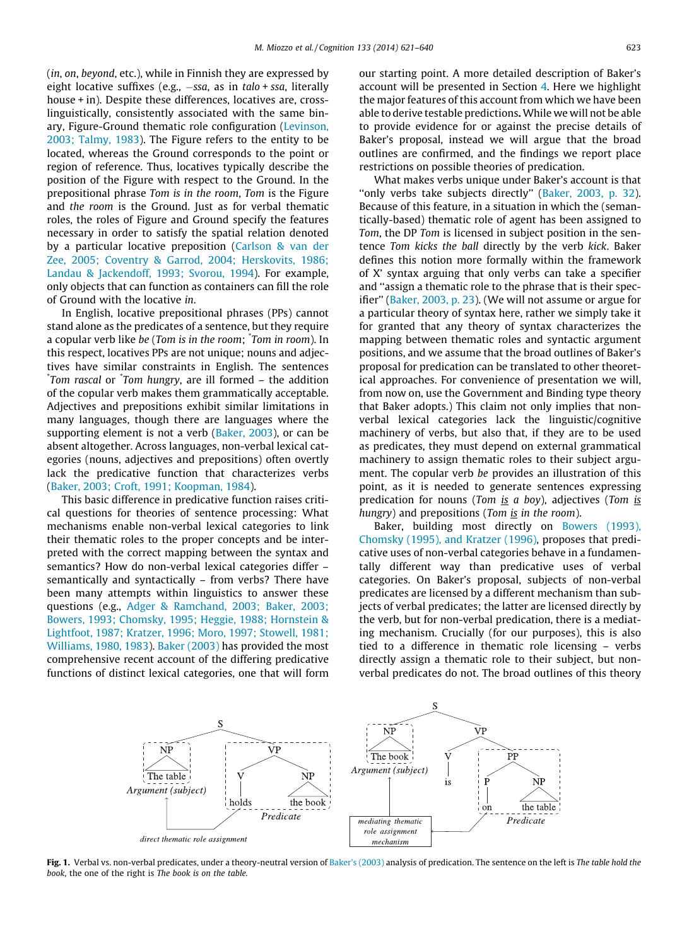<span id="page-2-0"></span>(in, on, beyond, etc.), while in Finnish they are expressed by eight locative suffixes (e.g., –*ssa*, as in *talo* +*ssa*, literally house + in). Despite these differences, locatives are, crosslinguistically, consistently associated with the same binary, Figure-Ground thematic role configuration ([Levinson,](#page-18-0) [2003; Talmy, 1983](#page-18-0)). The Figure refers to the entity to be located, whereas the Ground corresponds to the point or region of reference. Thus, locatives typically describe the position of the Figure with respect to the Ground. In the prepositional phrase Tom is in the room, Tom is the Figure and the room is the Ground. Just as for verbal thematic roles, the roles of Figure and Ground specify the features necessary in order to satisfy the spatial relation denoted by a particular locative preposition ([Carlson & van der](#page-18-0) [Zee, 2005; Coventry & Garrod, 2004; Herskovits, 1986;](#page-18-0) [Landau & Jackendoff, 1993; Svorou, 1994](#page-18-0)). For example, only objects that can function as containers can fill the role of Ground with the locative in.

In English, locative prepositional phrases (PPs) cannot stand alone as the predicates of a sentence, but they require a copular verb like *be* (Tom is in the room; <sup>\*</sup>Tom in room). In this respect, locatives PPs are not unique; nouns and adjectives have similar constraints in English. The sentences \* Tom rascal or \* Tom hungry, are ill formed – the addition of the copular verb makes them grammatically acceptable. Adjectives and prepositions exhibit similar limitations in many languages, though there are languages where the supporting element is not a verb [\(Baker, 2003](#page-17-0)), or can be absent altogether. Across languages, non-verbal lexical categories (nouns, adjectives and prepositions) often overtly lack the predicative function that characterizes verbs ([Baker, 2003; Croft, 1991; Koopman, 1984](#page-17-0)).

This basic difference in predicative function raises critical questions for theories of sentence processing: What mechanisms enable non-verbal lexical categories to link their thematic roles to the proper concepts and be interpreted with the correct mapping between the syntax and semantics? How do non-verbal lexical categories differ – semantically and syntactically – from verbs? There have been many attempts within linguistics to answer these questions (e.g., [Adger & Ramchand, 2003; Baker, 2003;](#page-17-0) [Bowers, 1993; Chomsky, 1995; Heggie, 1988; Hornstein &](#page-17-0) [Lightfoot, 1987; Kratzer, 1996; Moro, 1997;](#page-17-0) [Stowell, 1981;](#page-19-0) [Williams, 1980, 1983\)](#page-19-0). [Baker \(2003\)](#page-17-0) has provided the most comprehensive recent account of the differing predicative functions of distinct lexical categories, one that will form

our starting point. A more detailed description of Baker's account will be presented in Section [4](#page-13-0). Here we highlight the major features of this account from which we have been able to derive testable predictions. While we will not be able to provide evidence for or against the precise details of Baker's proposal, instead we will argue that the broad outlines are confirmed, and the findings we report place restrictions on possible theories of predication.

What makes verbs unique under Baker's account is that "only verbs take subjects directly" ([Baker, 2003, p. 32](#page-17-0)). Because of this feature, in a situation in which the (semantically-based) thematic role of agent has been assigned to Tom, the DP Tom is licensed in subject position in the sentence Tom kicks the ball directly by the verb kick. Baker defines this notion more formally within the framework of X' syntax arguing that only verbs can take a specifier and ''assign a thematic role to the phrase that is their specifier'' ([Baker, 2003, p. 23\)](#page-17-0). (We will not assume or argue for a particular theory of syntax here, rather we simply take it for granted that any theory of syntax characterizes the mapping between thematic roles and syntactic argument positions, and we assume that the broad outlines of Baker's proposal for predication can be translated to other theoretical approaches. For convenience of presentation we will, from now on, use the Government and Binding type theory that Baker adopts.) This claim not only implies that nonverbal lexical categories lack the linguistic/cognitive machinery of verbs, but also that, if they are to be used as predicates, they must depend on external grammatical machinery to assign thematic roles to their subject argument. The copular verb be provides an illustration of this point, as it is needed to generate sentences expressing predication for nouns (Tom  $is$  a boy), adjectives (Tom  $is$ hungry) and prepositions (Tom  $is$  in the room).

Baker, building most directly on [Bowers \(1993\),](#page-17-0) [Chomsky \(1995\), and Kratzer \(1996\)](#page-17-0), proposes that predicative uses of non-verbal categories behave in a fundamentally different way than predicative uses of verbal categories. On Baker's proposal, subjects of non-verbal predicates are licensed by a different mechanism than subjects of verbal predicates; the latter are licensed directly by the verb, but for non-verbal predication, there is a mediating mechanism. Crucially (for our purposes), this is also tied to a difference in thematic role licensing – verbs directly assign a thematic role to their subject, but nonverbal predicates do not. The broad outlines of this theory



Fig. 1. Verbal vs. non-verbal predicates, under a theory-neutral version of [Baker's \(2003\)](#page-17-0) analysis of predication. The sentence on the left is The table hold the book, the one of the right is The book is on the table.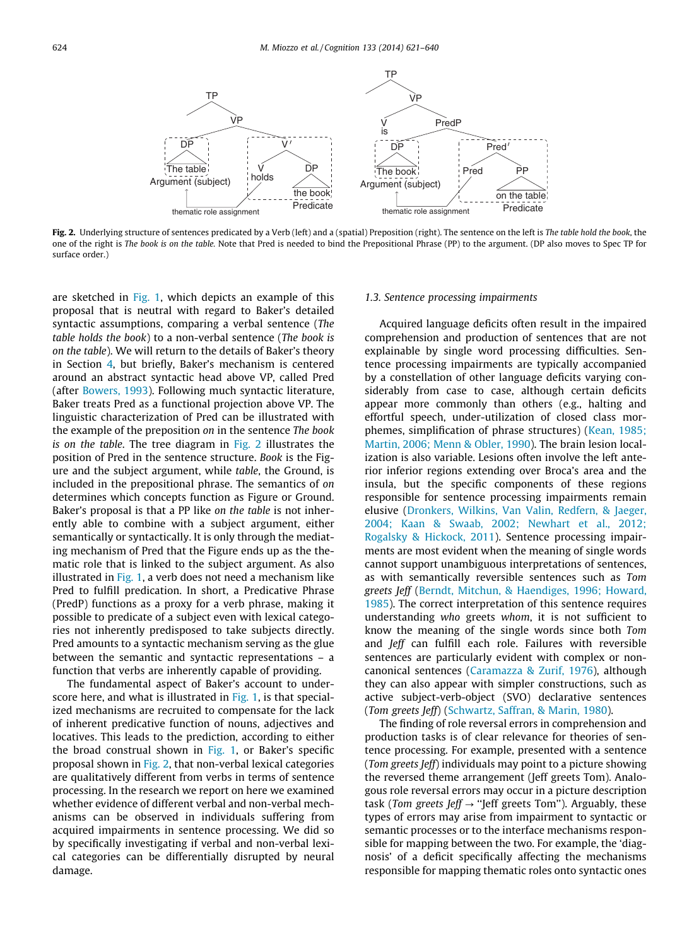<span id="page-3-0"></span>

Fig. 2. Underlying structure of sentences predicated by a Verb (left) and a (spatial) Preposition (right). The sentence on the left is The table hold the book, the one of the right is The book is on the table. Note that Pred is needed to bind the Prepositional Phrase (PP) to the argument. (DP also moves to Spec TP for surface order.)

are sketched in [Fig. 1,](#page-2-0) which depicts an example of this proposal that is neutral with regard to Baker's detailed syntactic assumptions, comparing a verbal sentence (The table holds the book) to a non-verbal sentence (The book is on the table). We will return to the details of Baker's theory in Section [4,](#page-13-0) but briefly, Baker's mechanism is centered around an abstract syntactic head above VP, called Pred (after [Bowers, 1993](#page-17-0)). Following much syntactic literature, Baker treats Pred as a functional projection above VP. The linguistic characterization of Pred can be illustrated with the example of the preposition on in the sentence The book is on the table. The tree diagram in Fig. 2 illustrates the position of Pred in the sentence structure. Book is the Figure and the subject argument, while table, the Ground, is included in the prepositional phrase. The semantics of on determines which concepts function as Figure or Ground. Baker's proposal is that a PP like on the table is not inherently able to combine with a subject argument, either semantically or syntactically. It is only through the mediating mechanism of Pred that the Figure ends up as the thematic role that is linked to the subject argument. As also illustrated in [Fig. 1,](#page-2-0) a verb does not need a mechanism like Pred to fulfill predication. In short, a Predicative Phrase (PredP) functions as a proxy for a verb phrase, making it possible to predicate of a subject even with lexical categories not inherently predisposed to take subjects directly. Pred amounts to a syntactic mechanism serving as the glue between the semantic and syntactic representations – a function that verbs are inherently capable of providing.

The fundamental aspect of Baker's account to underscore here, and what is illustrated in [Fig. 1,](#page-2-0) is that specialized mechanisms are recruited to compensate for the lack of inherent predicative function of nouns, adjectives and locatives. This leads to the prediction, according to either the broad construal shown in [Fig. 1](#page-2-0), or Baker's specific proposal shown in Fig. 2, that non-verbal lexical categories are qualitatively different from verbs in terms of sentence processing. In the research we report on here we examined whether evidence of different verbal and non-verbal mechanisms can be observed in individuals suffering from acquired impairments in sentence processing. We did so by specifically investigating if verbal and non-verbal lexical categories can be differentially disrupted by neural damage.

#### 1.3. Sentence processing impairments

Acquired language deficits often result in the impaired comprehension and production of sentences that are not explainable by single word processing difficulties. Sentence processing impairments are typically accompanied by a constellation of other language deficits varying considerably from case to case, although certain deficits appear more commonly than others (e.g., halting and effortful speech, under-utilization of closed class morphemes, simplification of phrase structures) ([Kean, 1985;](#page-18-0) [Martin, 2006; Menn & Obler, 1990](#page-18-0)). The brain lesion localization is also variable. Lesions often involve the left anterior inferior regions extending over Broca's area and the insula, but the specific components of these regions responsible for sentence processing impairments remain elusive ([Dronkers, Wilkins, Van Valin, Redfern, & Jaeger,](#page-18-0) [2004; Kaan & Swaab, 2002; Newhart et al., 2012;](#page-18-0) [Rogalsky & Hickock, 2011](#page-18-0)). Sentence processing impairments are most evident when the meaning of single words cannot support unambiguous interpretations of sentences, as with semantically reversible sentences such as Tom greets Jeff ([Berndt, Mitchun, & Haendiges, 1996; Howard,](#page-17-0) [1985](#page-17-0)). The correct interpretation of this sentence requires understanding who greets whom, it is not sufficient to know the meaning of the single words since both Tom and Jeff can fulfill each role. Failures with reversible sentences are particularly evident with complex or noncanonical sentences [\(Caramazza & Zurif, 1976](#page-18-0)), although they can also appear with simpler constructions, such as active subject-verb-object (SVO) declarative sentences (Tom greets Jeff) ([Schwartz, Saffran, & Marin, 1980\)](#page-19-0).

The finding of role reversal errors in comprehension and production tasks is of clear relevance for theories of sentence processing. For example, presented with a sentence (Tom greets Jeff) individuals may point to a picture showing the reversed theme arrangement (Jeff greets Tom). Analogous role reversal errors may occur in a picture description task (Tom greets Jeff  $\rightarrow$  "Jeff greets Tom"). Arguably, these types of errors may arise from impairment to syntactic or semantic processes or to the interface mechanisms responsible for mapping between the two. For example, the 'diagnosis' of a deficit specifically affecting the mechanisms responsible for mapping thematic roles onto syntactic ones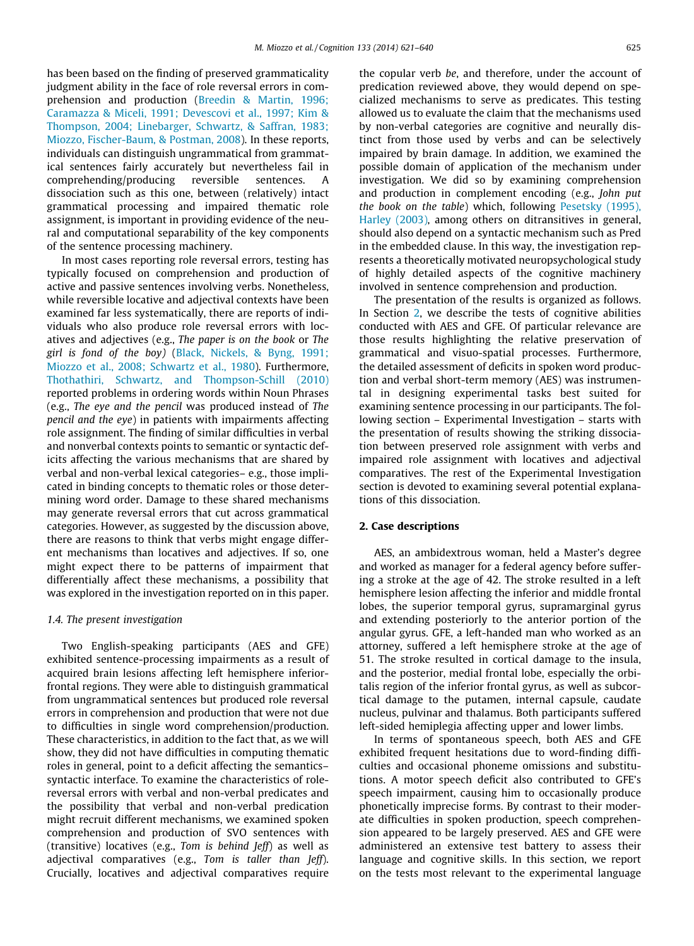<span id="page-4-0"></span>has been based on the finding of preserved grammaticality judgment ability in the face of role reversal errors in comprehension and production ([Breedin & Martin, 1996;](#page-17-0) [Caramazza & Miceli, 1991; Devescovi et al., 1997; Kim &](#page-17-0) [Thompson, 2004; Linebarger, Schwartz, & Saffran, 1983;](#page-17-0) [Miozzo, Fischer-Baum, & Postman, 2008\)](#page-17-0). In these reports, individuals can distinguish ungrammatical from grammatical sentences fairly accurately but nevertheless fail in comprehending/producing reversible sentences. A dissociation such as this one, between (relatively) intact grammatical processing and impaired thematic role assignment, is important in providing evidence of the neural and computational separability of the key components of the sentence processing machinery.

In most cases reporting role reversal errors, testing has typically focused on comprehension and production of active and passive sentences involving verbs. Nonetheless, while reversible locative and adjectival contexts have been examined far less systematically, there are reports of individuals who also produce role reversal errors with locatives and adjectives (e.g., The paper is on the book or The girl is fond of the boy) [\(Black, Nickels, & Byng, 1991;](#page-17-0) [Miozzo et al., 2008; Schwartz et al., 1980](#page-17-0)). Furthermore, [Thothathiri, Schwartz, and Thompson-Schill \(2010\)](#page-19-0) reported problems in ordering words within Noun Phrases (e.g., The eye and the pencil was produced instead of The pencil and the eye) in patients with impairments affecting role assignment. The finding of similar difficulties in verbal and nonverbal contexts points to semantic or syntactic deficits affecting the various mechanisms that are shared by verbal and non-verbal lexical categories– e.g., those implicated in binding concepts to thematic roles or those determining word order. Damage to these shared mechanisms may generate reversal errors that cut across grammatical categories. However, as suggested by the discussion above, there are reasons to think that verbs might engage different mechanisms than locatives and adjectives. If so, one might expect there to be patterns of impairment that differentially affect these mechanisms, a possibility that was explored in the investigation reported on in this paper.

#### 1.4. The present investigation

Two English-speaking participants (AES and GFE) exhibited sentence-processing impairments as a result of acquired brain lesions affecting left hemisphere inferiorfrontal regions. They were able to distinguish grammatical from ungrammatical sentences but produced role reversal errors in comprehension and production that were not due to difficulties in single word comprehension/production. These characteristics, in addition to the fact that, as we will show, they did not have difficulties in computing thematic roles in general, point to a deficit affecting the semantics– syntactic interface. To examine the characteristics of rolereversal errors with verbal and non-verbal predicates and the possibility that verbal and non-verbal predication might recruit different mechanisms, we examined spoken comprehension and production of SVO sentences with (transitive) locatives (e.g., Tom is behind Jeff) as well as adjectival comparatives (e.g., Tom is taller than Jeff). Crucially, locatives and adjectival comparatives require the copular verb be, and therefore, under the account of predication reviewed above, they would depend on specialized mechanisms to serve as predicates. This testing allowed us to evaluate the claim that the mechanisms used by non-verbal categories are cognitive and neurally distinct from those used by verbs and can be selectively impaired by brain damage. In addition, we examined the possible domain of application of the mechanism under investigation. We did so by examining comprehension and production in complement encoding (e.g., John put the book on the table) which, following [Pesetsky \(1995\),](#page-19-0) [Harley \(2003\),](#page-19-0) among others on ditransitives in general, should also depend on a syntactic mechanism such as Pred in the embedded clause. In this way, the investigation represents a theoretically motivated neuropsychological study of highly detailed aspects of the cognitive machinery involved in sentence comprehension and production.

The presentation of the results is organized as follows. In Section 2, we describe the tests of cognitive abilities conducted with AES and GFE. Of particular relevance are those results highlighting the relative preservation of grammatical and visuo-spatial processes. Furthermore, the detailed assessment of deficits in spoken word production and verbal short-term memory (AES) was instrumental in designing experimental tasks best suited for examining sentence processing in our participants. The following section – Experimental Investigation – starts with the presentation of results showing the striking dissociation between preserved role assignment with verbs and impaired role assignment with locatives and adjectival comparatives. The rest of the Experimental Investigation section is devoted to examining several potential explanations of this dissociation.

# 2. Case descriptions

AES, an ambidextrous woman, held a Master's degree and worked as manager for a federal agency before suffering a stroke at the age of 42. The stroke resulted in a left hemisphere lesion affecting the inferior and middle frontal lobes, the superior temporal gyrus, supramarginal gyrus and extending posteriorly to the anterior portion of the angular gyrus. GFE, a left-handed man who worked as an attorney, suffered a left hemisphere stroke at the age of 51. The stroke resulted in cortical damage to the insula, and the posterior, medial frontal lobe, especially the orbitalis region of the inferior frontal gyrus, as well as subcortical damage to the putamen, internal capsule, caudate nucleus, pulvinar and thalamus. Both participants suffered left-sided hemiplegia affecting upper and lower limbs.

In terms of spontaneous speech, both AES and GFE exhibited frequent hesitations due to word-finding difficulties and occasional phoneme omissions and substitutions. A motor speech deficit also contributed to GFE's speech impairment, causing him to occasionally produce phonetically imprecise forms. By contrast to their moderate difficulties in spoken production, speech comprehension appeared to be largely preserved. AES and GFE were administered an extensive test battery to assess their language and cognitive skills. In this section, we report on the tests most relevant to the experimental language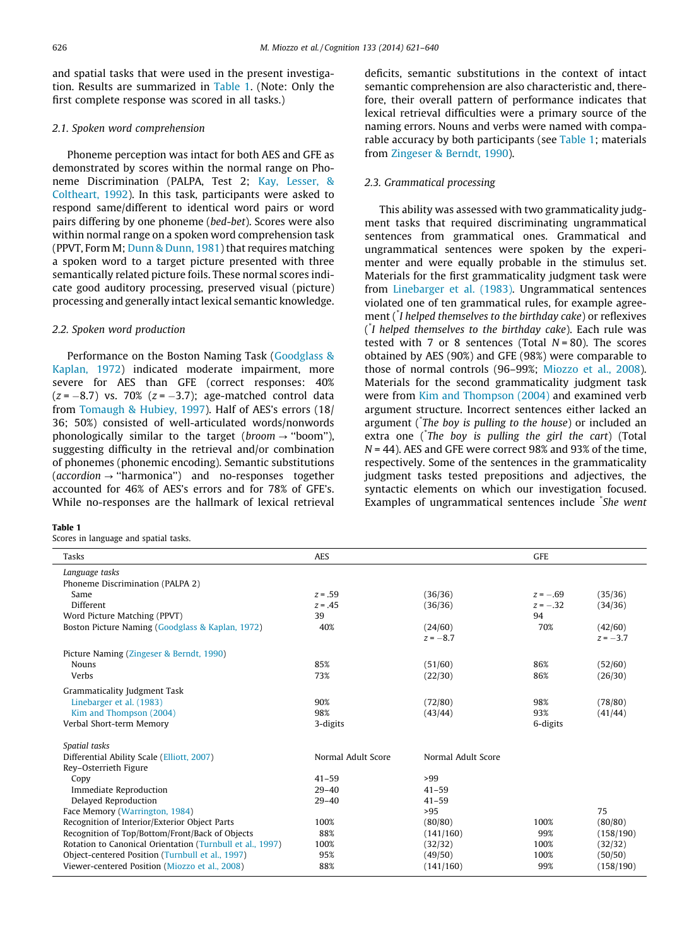<span id="page-5-0"></span>and spatial tasks that were used in the present investigation. Results are summarized in Table 1. (Note: Only the first complete response was scored in all tasks.)

# 2.1. Spoken word comprehension

Phoneme perception was intact for both AES and GFE as demonstrated by scores within the normal range on Phoneme Discrimination (PALPA, Test 2; [Kay, Lesser, &](#page-18-0) [Coltheart, 1992\)](#page-18-0). In this task, participants were asked to respond same/different to identical word pairs or word pairs differing by one phoneme (bed-bet). Scores were also within normal range on a spoken word comprehension task (PPVT, Form M; [Dunn & Dunn, 1981\)](#page-18-0) that requires matching a spoken word to a target picture presented with three semantically related picture foils. These normal scores indicate good auditory processing, preserved visual (picture) processing and generally intact lexical semantic knowledge.

# 2.2. Spoken word production

Performance on the Boston Naming Task [\(Goodglass &](#page-18-0) [Kaplan, 1972\)](#page-18-0) indicated moderate impairment, more severe for AES than GFE (correct responses: 40%  $(z=-8.7)$  vs.  $70\%$   $(z=-3.7)$ ; age-matched control data from [Tomaugh & Hubiey, 1997](#page-19-0)). Half of AES's errors (18/ 36; 50%) consisted of well-articulated words/nonwords phonologically similar to the target (broom  $\rightarrow$  "boom"), suggesting difficulty in the retrieval and/or combination of phonemes (phonemic encoding). Semantic substitutions  $(\textit{account} \rightarrow \text{``harmonica''})$  and no-responses together accounted for 46% of AES's errors and for 78% of GFE's. While no-responses are the hallmark of lexical retrieval

#### Table 1

 $\overline{a}$ 

Scores in language and spatial tasks.

deficits, semantic substitutions in the context of intact semantic comprehension are also characteristic and, therefore, their overall pattern of performance indicates that lexical retrieval difficulties were a primary source of the naming errors. Nouns and verbs were named with comparable accuracy by both participants (see Table 1; materials from [Zingeser & Berndt, 1990\)](#page-19-0).

# 2.3. Grammatical processing

This ability was assessed with two grammaticality judgment tasks that required discriminating ungrammatical sentences from grammatical ones. Grammatical and ungrammatical sentences were spoken by the experimenter and were equally probable in the stimulus set. Materials for the first grammaticality judgment task were from [Linebarger et al. \(1983\).](#page-18-0) Ungrammatical sentences violated one of ten grammatical rules, for example agreement (<sup>\*</sup>*I* helped themselves to the birthday cake) or reflexives ( \* I helped themselves to the birthday cake). Each rule was tested with 7 or 8 sentences (Total  $N = 80$ ). The scores obtained by AES (90%) and GFE (98%) were comparable to those of normal controls (96–99%; [Miozzo et al., 2008](#page-18-0)). Materials for the second grammaticality judgment task were from [Kim and Thompson \(2004\)](#page-18-0) and examined verb argument structure. Incorrect sentences either lacked an argument (\* The boy is pulling to the house) or included an extra one (<sup>\*</sup>The boy is pulling the girl the cart) (Total  $N = 44$ ). AES and GFE were correct 98% and 93% of the time, respectively. Some of the sentences in the grammaticality judgment tasks tested prepositions and adjectives, the syntactic elements on which our investigation focused. Examples of ungrammatical sentences include \*She went

| Tasks                                                     | <b>AES</b>         |                    | <b>GFE</b> |            |
|-----------------------------------------------------------|--------------------|--------------------|------------|------------|
| Language tasks                                            |                    |                    |            |            |
| Phoneme Discrimination (PALPA 2)                          |                    |                    |            |            |
| Same                                                      | $z = .59$          | (36/36)            | $z = -.69$ | (35/36)    |
| <b>Different</b>                                          | $z = .45$          | (36/36)            | $z = -.32$ | (34/36)    |
| Word Picture Matching (PPVT)                              | 39                 |                    | 94         |            |
| Boston Picture Naming (Goodglass & Kaplan, 1972)          | 40%                | (24/60)            | 70%        | (42/60)    |
|                                                           |                    | $z = -8.7$         |            | $z = -3.7$ |
| Picture Naming (Zingeser & Berndt, 1990)                  |                    |                    |            |            |
| <b>Nouns</b>                                              | 85%                | (51/60)            | 86%        | (52/60)    |
| Verbs                                                     | 73%                | (22/30)            | 86%        | (26/30)    |
| Grammaticality Judgment Task                              |                    |                    |            |            |
| Linebarger et al. (1983)                                  | 90%                | (72/80)            | 98%        | (78/80)    |
| Kim and Thompson (2004)                                   | 98%                | (43/44)            | 93%        | (41/44)    |
| Verbal Short-term Memory                                  | 3-digits           |                    | 6-digits   |            |
|                                                           |                    |                    |            |            |
| Spatial tasks                                             |                    |                    |            |            |
| Differential Ability Scale (Elliott, 2007)                | Normal Adult Score | Normal Adult Score |            |            |
| Rey-Osterrieth Figure                                     |                    |                    |            |            |
| Copy                                                      | $41 - 59$          | >99                |            |            |
| Immediate Reproduction                                    | $29 - 40$          | $41 - 59$          |            |            |
| Delayed Reproduction                                      | $29 - 40$          | $41 - 59$          |            |            |
| Face Memory (Warrington, 1984)                            |                    | >95                |            | 75         |
| Recognition of Interior/Exterior Object Parts             | 100%               | (80/80)            | 100%       | (80/80)    |
| Recognition of Top/Bottom/Front/Back of Objects           | 88%                | (141/160)          | 99%        | (158/190)  |
| Rotation to Canonical Orientation (Turnbull et al., 1997) | 100%               | (32/32)            | 100%       | (32/32)    |
| Object-centered Position (Turnbull et al., 1997)          | 95%                | (49/50)            | 100%       | (50/50)    |
| Viewer-centered Position (Miozzo et al., 2008)            | 88%                | (141/160)          | 99%        | (158/190)  |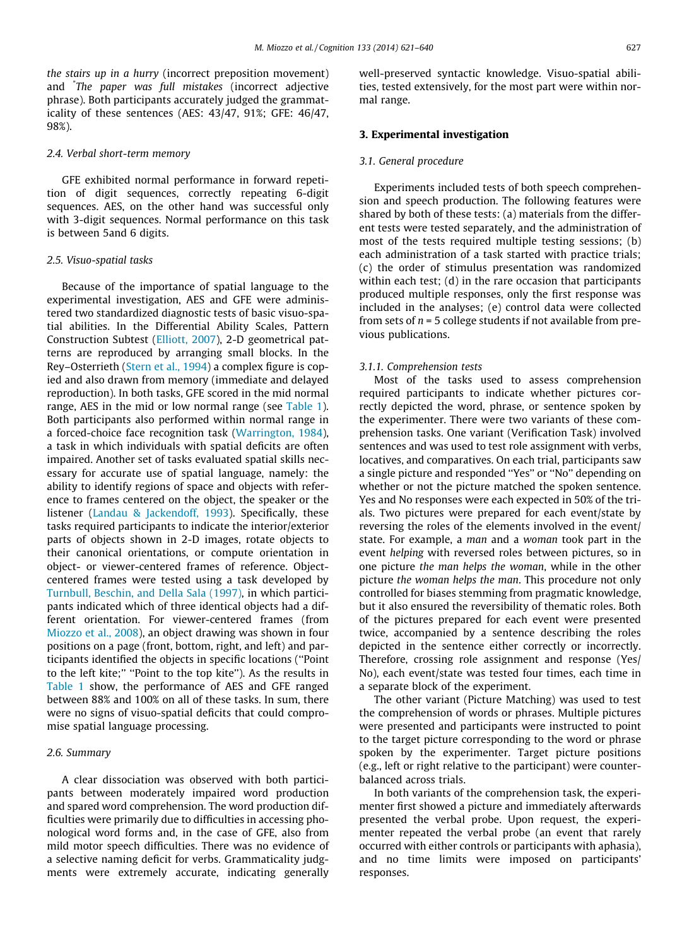the stairs up in a hurry (incorrect preposition movement) and \* The paper was full mistakes (incorrect adjective phrase). Both participants accurately judged the grammaticality of these sentences (AES: 43/47, 91%; GFE: 46/47, 98%).

## 2.4. Verbal short-term memory

GFE exhibited normal performance in forward repetition of digit sequences, correctly repeating 6-digit sequences. AES, on the other hand was successful only with 3-digit sequences. Normal performance on this task is between 5and 6 digits.

# 2.5. Visuo-spatial tasks

Because of the importance of spatial language to the experimental investigation, AES and GFE were administered two standardized diagnostic tests of basic visuo-spatial abilities. In the Differential Ability Scales, Pattern Construction Subtest ([Elliott, 2007](#page-18-0)), 2-D geometrical patterns are reproduced by arranging small blocks. In the Rey–Osterrieth ([Stern et al., 1994](#page-19-0)) a complex figure is copied and also drawn from memory (immediate and delayed reproduction). In both tasks, GFE scored in the mid normal range, AES in the mid or low normal range (see [Table 1](#page-5-0)). Both participants also performed within normal range in a forced-choice face recognition task [\(Warrington, 1984](#page-19-0)), a task in which individuals with spatial deficits are often impaired. Another set of tasks evaluated spatial skills necessary for accurate use of spatial language, namely: the ability to identify regions of space and objects with reference to frames centered on the object, the speaker or the listener ([Landau & Jackendoff, 1993\)](#page-18-0). Specifically, these tasks required participants to indicate the interior/exterior parts of objects shown in 2-D images, rotate objects to their canonical orientations, or compute orientation in object- or viewer-centered frames of reference. Objectcentered frames were tested using a task developed by [Turnbull, Beschin, and Della Sala \(1997\),](#page-19-0) in which participants indicated which of three identical objects had a different orientation. For viewer-centered frames (from [Miozzo et al., 2008\)](#page-18-0), an object drawing was shown in four positions on a page (front, bottom, right, and left) and participants identified the objects in specific locations (''Point to the left kite;'' ''Point to the top kite''). As the results in [Table 1](#page-5-0) show, the performance of AES and GFE ranged between 88% and 100% on all of these tasks. In sum, there were no signs of visuo-spatial deficits that could compromise spatial language processing.

#### 2.6. Summary

A clear dissociation was observed with both participants between moderately impaired word production and spared word comprehension. The word production difficulties were primarily due to difficulties in accessing phonological word forms and, in the case of GFE, also from mild motor speech difficulties. There was no evidence of a selective naming deficit for verbs. Grammaticality judgments were extremely accurate, indicating generally well-preserved syntactic knowledge. Visuo-spatial abilities, tested extensively, for the most part were within normal range.

#### 3. Experimental investigation

## 3.1. General procedure

Experiments included tests of both speech comprehension and speech production. The following features were shared by both of these tests: (a) materials from the different tests were tested separately, and the administration of most of the tests required multiple testing sessions; (b) each administration of a task started with practice trials; (c) the order of stimulus presentation was randomized within each test; (d) in the rare occasion that participants produced multiple responses, only the first response was included in the analyses; (e) control data were collected from sets of  $n = 5$  college students if not available from previous publications.

# 3.1.1. Comprehension tests

Most of the tasks used to assess comprehension required participants to indicate whether pictures correctly depicted the word, phrase, or sentence spoken by the experimenter. There were two variants of these comprehension tasks. One variant (Verification Task) involved sentences and was used to test role assignment with verbs, locatives, and comparatives. On each trial, participants saw a single picture and responded ''Yes'' or ''No'' depending on whether or not the picture matched the spoken sentence. Yes and No responses were each expected in 50% of the trials. Two pictures were prepared for each event/state by reversing the roles of the elements involved in the event/ state. For example, a man and a woman took part in the event helping with reversed roles between pictures, so in one picture the man helps the woman, while in the other picture the woman helps the man. This procedure not only controlled for biases stemming from pragmatic knowledge, but it also ensured the reversibility of thematic roles. Both of the pictures prepared for each event were presented twice, accompanied by a sentence describing the roles depicted in the sentence either correctly or incorrectly. Therefore, crossing role assignment and response (Yes/ No), each event/state was tested four times, each time in a separate block of the experiment.

The other variant (Picture Matching) was used to test the comprehension of words or phrases. Multiple pictures were presented and participants were instructed to point to the target picture corresponding to the word or phrase spoken by the experimenter. Target picture positions (e.g., left or right relative to the participant) were counterbalanced across trials.

In both variants of the comprehension task, the experimenter first showed a picture and immediately afterwards presented the verbal probe. Upon request, the experimenter repeated the verbal probe (an event that rarely occurred with either controls or participants with aphasia), and no time limits were imposed on participants' responses.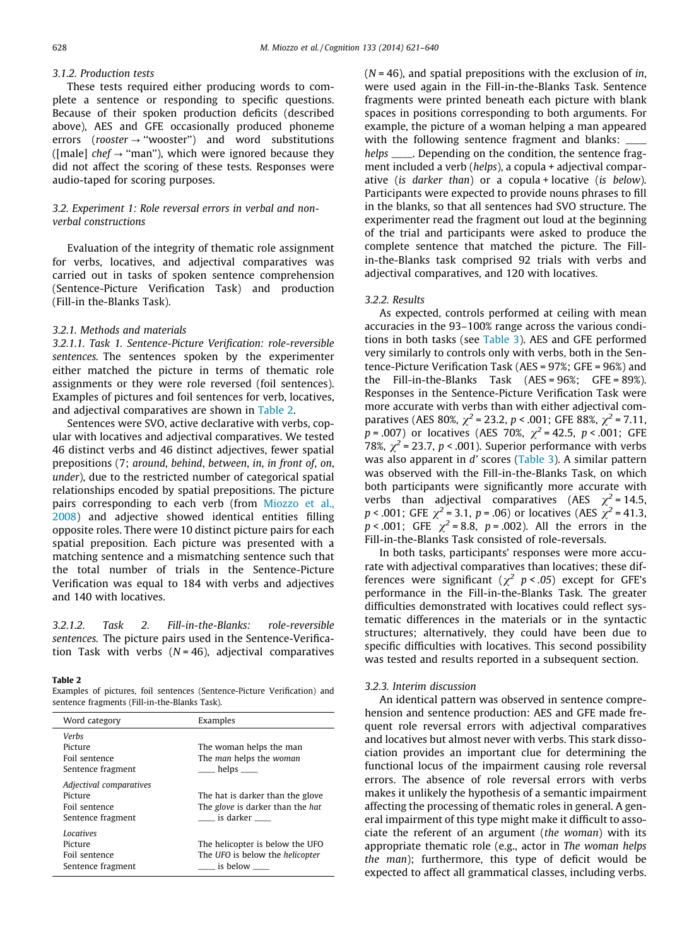# <span id="page-7-0"></span>3.1.2. Production tests

These tests required either producing words to complete a sentence or responding to specific questions. Because of their spoken production deficits (described above), AES and GFE occasionally produced phoneme errors (rooster  $\rightarrow$  "wooster") and word substitutions ([male] chef  $\rightarrow$  "man"), which were ignored because they did not affect the scoring of these tests. Responses were audio-taped for scoring purposes.

# 3.2. Experiment 1: Role reversal errors in verbal and nonverbal constructions

Evaluation of the integrity of thematic role assignment for verbs, locatives, and adjectival comparatives was carried out in tasks of spoken sentence comprehension (Sentence-Picture Verification Task) and production (Fill-in the-Blanks Task).

#### 3.2.1. Methods and materials

3.2.1.1. Task 1. Sentence-Picture Verification: role-reversible sentences. The sentences spoken by the experimenter either matched the picture in terms of thematic role assignments or they were role reversed (foil sentences). Examples of pictures and foil sentences for verb, locatives, and adjectival comparatives are shown in Table 2.

Sentences were SVO, active declarative with verbs, copular with locatives and adjectival comparatives. We tested 46 distinct verbs and 46 distinct adjectives, fewer spatial prepositions (7; around, behind, between, in, in front of, on, under), due to the restricted number of categorical spatial relationships encoded by spatial prepositions. The picture pairs corresponding to each verb (from [Miozzo et al.,](#page-18-0) [2008](#page-18-0)) and adjective showed identical entities filling opposite roles. There were 10 distinct picture pairs for each spatial preposition. Each picture was presented with a matching sentence and a mismatching sentence such that the total number of trials in the Sentence-Picture Verification was equal to 184 with verbs and adjectives and 140 with locatives.

3.2.1.2. Task 2. Fill-in-the-Blanks: role-reversible sentences. The picture pairs used in the Sentence-Verification Task with verbs  $(N = 46)$ , adjectival comparatives

#### Table 2

Examples of pictures, foil sentences (Sentence-Picture Verification) and sentence fragments (Fill-in-the-Blanks Task).

| Word category                                                            | Examples                                                                          |
|--------------------------------------------------------------------------|-----------------------------------------------------------------------------------|
| <b>Verbs</b><br>Picture<br>Foil sentence<br>Sentence fragment            | The woman helps the man<br>The man helps the woman<br>$\qquad$ helps $\qquad$     |
| Adjectival comparatives<br>Picture<br>Foil sentence<br>Sentence fragment | The hat is darker than the glove<br>The glove is darker than the hat<br>is darker |
| Locatives<br>Picture<br>Foil sentence<br>Sentence fragment               | The helicopter is below the UFO<br>The UFO is below the helicopter<br>is below    |

 $(N = 46)$ , and spatial prepositions with the exclusion of in, were used again in the Fill-in-the-Blanks Task. Sentence fragments were printed beneath each picture with blank spaces in positions corresponding to both arguments. For example, the picture of a woman helping a man appeared with the following sentence fragment and blanks: helps . Depending on the condition, the sentence fragment included a verb (helps), a copula + adjectival comparative (is darker than) or a copula + locative (is below). Participants were expected to provide nouns phrases to fill in the blanks, so that all sentences had SVO structure. The experimenter read the fragment out loud at the beginning of the trial and participants were asked to produce the complete sentence that matched the picture. The Fillin-the-Blanks task comprised 92 trials with verbs and adjectival comparatives, and 120 with locatives.

#### 3.2.2. Results

As expected, controls performed at ceiling with mean accuracies in the 93–100% range across the various conditions in both tasks (see [Table 3\)](#page-8-0). AES and GFE performed very similarly to controls only with verbs, both in the Sentence-Picture Verification Task (AES = 97%; GFE = 96%) and the Fill-in-the-Blanks Task (AES = 96%; GFE = 89%). Responses in the Sentence-Picture Verification Task were more accurate with verbs than with either adjectival comparatives (AES 80%,  $\chi^2$  = 23.2, p < .001; GFE 88%,  $\chi^2$  = 7.11,  $p = .007$ ) or locatives (AES 70%,  $\chi^2 = 42.5$ ,  $p < .001$ ; GFE 78%,  $\chi^2$  = 23.7, p < .001). Superior performance with verbs was also apparent in d' scores ([Table 3\)](#page-8-0). A similar pattern was observed with the Fill-in-the-Blanks Task, on which both participants were significantly more accurate with verbs than adjectival comparatives (AES  $\chi^2$  = 14.5,  $p < .001$ ; GFE  $\chi^2 = 3.1$ ,  $p = .06$ ) or locatives (AES  $\chi^2 = 41.3$ ,  $p < .001$ ; GFE  $\gamma^2 = 8.8$ ,  $p = .002$ ). All the errors in the Fill-in-the-Blanks Task consisted of role-reversals.

In both tasks, participants' responses were more accurate with adjectival comparatives than locatives; these differences were significant ( $\chi^2$  p < .05) except for GFE's performance in the Fill-in-the-Blanks Task. The greater difficulties demonstrated with locatives could reflect systematic differences in the materials or in the syntactic structures; alternatively, they could have been due to specific difficulties with locatives. This second possibility was tested and results reported in a subsequent section.

# 3.2.3. Interim discussion

An identical pattern was observed in sentence comprehension and sentence production: AES and GFE made frequent role reversal errors with adjectival comparatives and locatives but almost never with verbs. This stark dissociation provides an important clue for determining the functional locus of the impairment causing role reversal errors. The absence of role reversal errors with verbs makes it unlikely the hypothesis of a semantic impairment affecting the processing of thematic roles in general. A general impairment of this type might make it difficult to associate the referent of an argument (the woman) with its appropriate thematic role (e.g., actor in The woman helps the man); furthermore, this type of deficit would be expected to affect all grammatical classes, including verbs.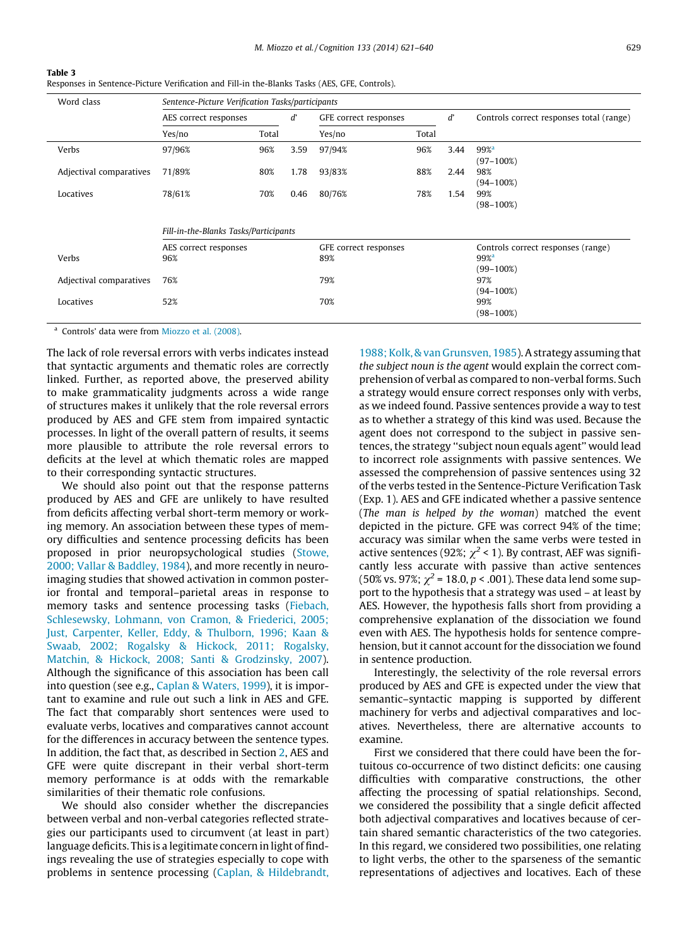#### <span id="page-8-0"></span>Table 3

Responses in Sentence-Picture Verification and Fill-in the-Blanks Tasks (AES, GFE, Controls).

| Word class              | Sentence-Picture Verification Tasks/participants |       |                            |                              |       |                                          |                                                                                                   |
|-------------------------|--------------------------------------------------|-------|----------------------------|------------------------------|-------|------------------------------------------|---------------------------------------------------------------------------------------------------|
|                         | AES correct responses                            |       | GFE correct responses<br>ď |                              | ď     | Controls correct responses total (range) |                                                                                                   |
|                         | Yes/no                                           | Total |                            | Yes/no                       | Total |                                          |                                                                                                   |
| Verbs                   | 97/96%                                           | 96%   | 3.59                       | 97/94%                       | 96%   | 3.44                                     | $99\%$ <sup>a</sup><br>$(97-100%)$                                                                |
| Adjectival comparatives | 71/89%                                           | 80%   | 1.78                       | 93/83%                       | 88%   | 2.44                                     | 98%<br>$(94 - 100\%)$                                                                             |
| Locatives               | 78/61%                                           | 70%   | 0.46                       | 80/76%                       | 78%   | 1.54                                     | 99%<br>$(98 - 100\%)$                                                                             |
|                         | Fill-in-the-Blanks Tasks/Participants            |       |                            |                              |       |                                          |                                                                                                   |
| Verbs                   | AES correct responses<br>96%                     |       |                            | GFE correct responses<br>89% |       |                                          | Controls correct responses (range)<br>$99%$ <sup><math>\frac{a}{b}</math></sup><br>$(99 - 100\%)$ |
| Adjectival comparatives | 76%                                              |       |                            | 79%                          |       |                                          | 97%<br>$(94 - 100\%)$                                                                             |
| Locatives               | 52%                                              |       |                            | 70%                          |       |                                          | 99%<br>$(98 - 100\%)$                                                                             |

<sup>a</sup> Controls' data were from [Miozzo et al. \(2008\)](#page-18-0).

The lack of role reversal errors with verbs indicates instead that syntactic arguments and thematic roles are correctly linked. Further, as reported above, the preserved ability to make grammaticality judgments across a wide range of structures makes it unlikely that the role reversal errors produced by AES and GFE stem from impaired syntactic processes. In light of the overall pattern of results, it seems more plausible to attribute the role reversal errors to deficits at the level at which thematic roles are mapped to their corresponding syntactic structures.

We should also point out that the response patterns produced by AES and GFE are unlikely to have resulted from deficits affecting verbal short-term memory or working memory. An association between these types of memory difficulties and sentence processing deficits has been proposed in prior neuropsychological studies [\(Stowe,](#page-19-0) [2000; Vallar & Baddley, 1984\)](#page-19-0), and more recently in neuroimaging studies that showed activation in common posterior frontal and temporal–parietal areas in response to memory tasks and sentence processing tasks [\(Fiebach,](#page-18-0) [Schlesewsky, Lohmann, von Cramon, & Friederici, 2005;](#page-18-0) [Just, Carpenter, Keller, Eddy, & Thulborn, 1996; Kaan &](#page-18-0) [Swaab, 2002; Rogalsky & Hickock, 2011; Rogalsky,](#page-18-0) [Matchin, & Hickock, 2008; Santi & Grodzinsky, 2007](#page-18-0)). Although the significance of this association has been call into question (see e.g., [Caplan & Waters, 1999\)](#page-18-0), it is important to examine and rule out such a link in AES and GFE. The fact that comparably short sentences were used to evaluate verbs, locatives and comparatives cannot account for the differences in accuracy between the sentence types. In addition, the fact that, as described in Section [2,](#page-4-0) AES and GFE were quite discrepant in their verbal short-term memory performance is at odds with the remarkable similarities of their thematic role confusions.

We should also consider whether the discrepancies between verbal and non-verbal categories reflected strategies our participants used to circumvent (at least in part) language deficits. This is a legitimate concern in light of findings revealing the use of strategies especially to cope with problems in sentence processing [\(Caplan, & Hildebrandt,](#page-18-0)

[1988; Kolk, & van Grunsven, 1985\)](#page-18-0). A strategy assuming that the subject noun is the agent would explain the correct comprehension of verbal as compared to non-verbal forms. Such a strategy would ensure correct responses only with verbs, as we indeed found. Passive sentences provide a way to test as to whether a strategy of this kind was used. Because the agent does not correspond to the subject in passive sentences, the strategy ''subject noun equals agent'' would lead to incorrect role assignments with passive sentences. We assessed the comprehension of passive sentences using 32 of the verbs tested in the Sentence-Picture Verification Task (Exp. 1). AES and GFE indicated whether a passive sentence (The man is helped by the woman) matched the event depicted in the picture. GFE was correct 94% of the time; accuracy was similar when the same verbs were tested in active sentences (92%;  $\chi^2$  < 1). By contrast, AEF was significantly less accurate with passive than active sentences (50% vs. 97%;  $\chi^2$  = 18.0, p < .001). These data lend some support to the hypothesis that a strategy was used – at least by AES. However, the hypothesis falls short from providing a comprehensive explanation of the dissociation we found even with AES. The hypothesis holds for sentence comprehension, but it cannot account for the dissociation we found in sentence production.

Interestingly, the selectivity of the role reversal errors produced by AES and GFE is expected under the view that semantic–syntactic mapping is supported by different machinery for verbs and adjectival comparatives and locatives. Nevertheless, there are alternative accounts to examine.

First we considered that there could have been the fortuitous co-occurrence of two distinct deficits: one causing difficulties with comparative constructions, the other affecting the processing of spatial relationships. Second, we considered the possibility that a single deficit affected both adjectival comparatives and locatives because of certain shared semantic characteristics of the two categories. In this regard, we considered two possibilities, one relating to light verbs, the other to the sparseness of the semantic representations of adjectives and locatives. Each of these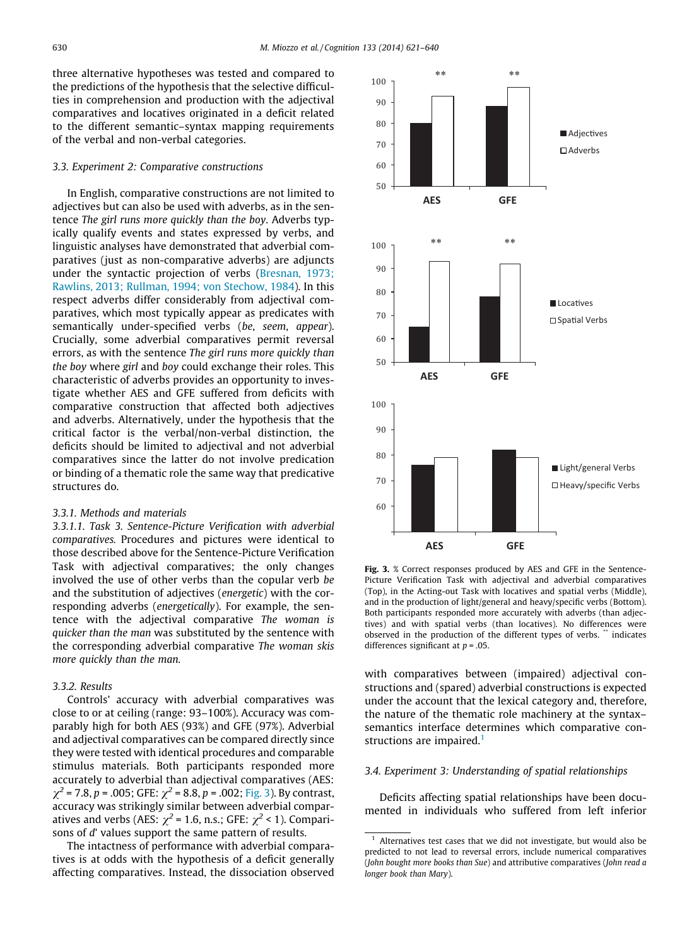<span id="page-9-0"></span>three alternative hypotheses was tested and compared to the predictions of the hypothesis that the selective difficulties in comprehension and production with the adjectival comparatives and locatives originated in a deficit related to the different semantic–syntax mapping requirements of the verbal and non-verbal categories.

# 3.3. Experiment 2: Comparative constructions

In English, comparative constructions are not limited to adjectives but can also be used with adverbs, as in the sentence The girl runs more quickly than the boy. Adverbs typically qualify events and states expressed by verbs, and linguistic analyses have demonstrated that adverbial comparatives (just as non-comparative adverbs) are adjuncts under the syntactic projection of verbs ([Bresnan, 1973;](#page-17-0) [Rawlins, 2013; Rullman, 1994; von Stechow, 1984](#page-17-0)). In this respect adverbs differ considerably from adjectival comparatives, which most typically appear as predicates with semantically under-specified verbs (be, seem, appear). Crucially, some adverbial comparatives permit reversal errors, as with the sentence The girl runs more quickly than the boy where girl and boy could exchange their roles. This characteristic of adverbs provides an opportunity to investigate whether AES and GFE suffered from deficits with comparative construction that affected both adjectives and adverbs. Alternatively, under the hypothesis that the critical factor is the verbal/non-verbal distinction, the deficits should be limited to adjectival and not adverbial comparatives since the latter do not involve predication or binding of a thematic role the same way that predicative structures do.

#### 3.3.1. Methods and materials

3.3.1.1. Task 3. Sentence-Picture Verification with adverbial comparatives. Procedures and pictures were identical to those described above for the Sentence-Picture Verification Task with adjectival comparatives; the only changes involved the use of other verbs than the copular verb be and the substitution of adjectives (energetic) with the corresponding adverbs (energetically). For example, the sentence with the adjectival comparative The woman is quicker than the man was substituted by the sentence with the corresponding adverbial comparative The woman skis more quickly than the man.

# 3.3.2. Results

Controls' accuracy with adverbial comparatives was close to or at ceiling (range: 93–100%). Accuracy was comparably high for both AES (93%) and GFE (97%). Adverbial and adjectival comparatives can be compared directly since they were tested with identical procedures and comparable stimulus materials. Both participants responded more accurately to adverbial than adjectival comparatives (AES:  $\chi^2$  = 7.8, p = .005; GFE:  $\chi^2$  = 8.8, p = .002; Fig. 3). By contrast, accuracy was strikingly similar between adverbial comparatives and verbs (AES:  $\chi^2$  = 1.6, n.s.; GFE:  $\chi^2$  < 1). Comparisons of d' values support the same pattern of results.

The intactness of performance with adverbial comparatives is at odds with the hypothesis of a deficit generally affecting comparatives. Instead, the dissociation observed



Fig. 3. % Correct responses produced by AES and GFE in the Sentence-Picture Verification Task with adjectival and adverbial comparatives (Top), in the Acting-out Task with locatives and spatial verbs (Middle), and in the production of light/general and heavy/specific verbs (Bottom). Both participants responded more accurately with adverbs (than adjectives) and with spatial verbs (than locatives). No differences were observed in the production of the different types of verbs. \*\* indicates differences significant at  $p = .05$ .

with comparatives between (impaired) adjectival constructions and (spared) adverbial constructions is expected under the account that the lexical category and, therefore, the nature of the thematic role machinery at the syntax– semantics interface determines which comparative constructions are impaired. $<sup>1</sup>$ </sup>

# 3.4. Experiment 3: Understanding of spatial relationships

Deficits affecting spatial relationships have been documented in individuals who suffered from left inferior

Alternatives test cases that we did not investigate, but would also be predicted to not lead to reversal errors, include numerical comparatives (John bought more books than Sue) and attributive comparatives (John read a longer book than Mary).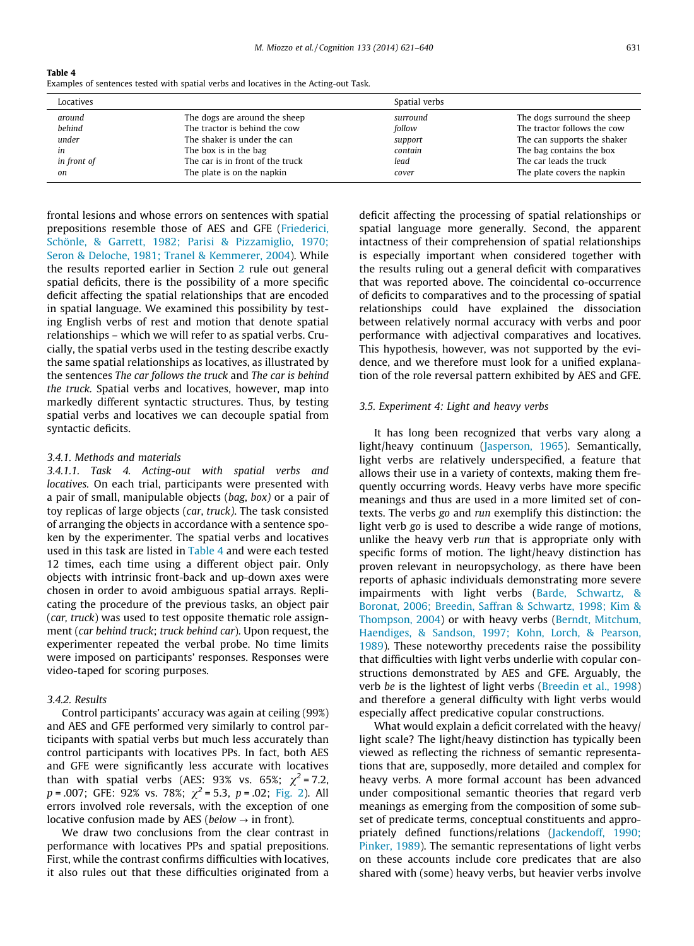#### <span id="page-10-0"></span>Table 4

Examples of sentences tested with spatial verbs and locatives in the Acting-out Task.

| Locatives     |                                  | Spatial verbs |                             |
|---------------|----------------------------------|---------------|-----------------------------|
| around        | The dogs are around the sheep    | surround      | The dogs surround the sheep |
| behind        | The tractor is behind the cow    | follow        | The tractor follows the cow |
| under         | The shaker is under the can      | support       | The can supports the shaker |
| in            | The box is in the bag            | contain       | The bag contains the box    |
| in front of   | The car is in front of the truck | lead          | The car leads the truck     |
| <sub>on</sub> | The plate is on the napkin       | cover         | The plate covers the napkin |

frontal lesions and whose errors on sentences with spatial prepositions resemble those of AES and GFE ([Friederici,](#page-18-0) [Schönle, & Garrett, 1982; Parisi & Pizzamiglio, 1970;](#page-18-0) [Seron & Deloche, 1981; Tranel & Kemmerer, 2004\)](#page-18-0). While the results reported earlier in Section [2](#page-4-0) rule out general spatial deficits, there is the possibility of a more specific deficit affecting the spatial relationships that are encoded in spatial language. We examined this possibility by testing English verbs of rest and motion that denote spatial relationships – which we will refer to as spatial verbs. Crucially, the spatial verbs used in the testing describe exactly the same spatial relationships as locatives, as illustrated by the sentences The car follows the truck and The car is behind the truck. Spatial verbs and locatives, however, map into markedly different syntactic structures. Thus, by testing spatial verbs and locatives we can decouple spatial from syntactic deficits.

# 3.4.1. Methods and materials

3.4.1.1. Task 4. Acting-out with spatial verbs and locatives. On each trial, participants were presented with a pair of small, manipulable objects (bag, box) or a pair of toy replicas of large objects (car, truck). The task consisted of arranging the objects in accordance with a sentence spoken by the experimenter. The spatial verbs and locatives used in this task are listed in Table 4 and were each tested 12 times, each time using a different object pair. Only objects with intrinsic front-back and up-down axes were chosen in order to avoid ambiguous spatial arrays. Replicating the procedure of the previous tasks, an object pair (car, truck) was used to test opposite thematic role assignment (car behind truck; truck behind car). Upon request, the experimenter repeated the verbal probe. No time limits were imposed on participants' responses. Responses were video-taped for scoring purposes.

#### 3.4.2. Results

Control participants' accuracy was again at ceiling (99%) and AES and GFE performed very similarly to control participants with spatial verbs but much less accurately than control participants with locatives PPs. In fact, both AES and GFE were significantly less accurate with locatives than with spatial verbs (AES: 93% vs. 65%;  $\chi^2$  = 7.2,  $p = .007$ ; GFE: 92% vs. 78%;  $\chi^2 = 5.3$ ,  $p = .02$ ; [Fig. 2\)](#page-3-0). All errors involved role reversals, with the exception of one locative confusion made by AES (below  $\rightarrow$  in front).

We draw two conclusions from the clear contrast in performance with locatives PPs and spatial prepositions. First, while the contrast confirms difficulties with locatives, it also rules out that these difficulties originated from a deficit affecting the processing of spatial relationships or spatial language more generally. Second, the apparent intactness of their comprehension of spatial relationships is especially important when considered together with the results ruling out a general deficit with comparatives that was reported above. The coincidental co-occurrence of deficits to comparatives and to the processing of spatial relationships could have explained the dissociation between relatively normal accuracy with verbs and poor performance with adjectival comparatives and locatives. This hypothesis, however, was not supported by the evidence, and we therefore must look for a unified explanation of the role reversal pattern exhibited by AES and GFE.

#### 3.5. Experiment 4: Light and heavy verbs

It has long been recognized that verbs vary along a light/heavy continuum ([Jasperson, 1965](#page-18-0)). Semantically, light verbs are relatively underspecified, a feature that allows their use in a variety of contexts, making them frequently occurring words. Heavy verbs have more specific meanings and thus are used in a more limited set of contexts. The verbs go and run exemplify this distinction: the light verb go is used to describe a wide range of motions, unlike the heavy verb run that is appropriate only with specific forms of motion. The light/heavy distinction has proven relevant in neuropsychology, as there have been reports of aphasic individuals demonstrating more severe impairments with light verbs [\(Barde, Schwartz, &](#page-17-0) [Boronat, 2006; Breedin, Saffran & Schwartz, 1998; Kim &](#page-17-0) [Thompson, 2004\)](#page-17-0) or with heavy verbs [\(Berndt, Mitchum,](#page-17-0) [Haendiges, & Sandson, 1997; Kohn, Lorch, & Pearson,](#page-17-0) [1989\)](#page-17-0). These noteworthy precedents raise the possibility that difficulties with light verbs underlie with copular constructions demonstrated by AES and GFE. Arguably, the verb be is the lightest of light verbs [\(Breedin et al., 1998](#page-17-0)) and therefore a general difficulty with light verbs would especially affect predicative copular constructions.

What would explain a deficit correlated with the heavy/ light scale? The light/heavy distinction has typically been viewed as reflecting the richness of semantic representations that are, supposedly, more detailed and complex for heavy verbs. A more formal account has been advanced under compositional semantic theories that regard verb meanings as emerging from the composition of some subset of predicate terms, conceptual constituents and appropriately defined functions/relations [\(Jackendoff, 1990;](#page-18-0) [Pinker, 1989\)](#page-18-0). The semantic representations of light verbs on these accounts include core predicates that are also shared with (some) heavy verbs, but heavier verbs involve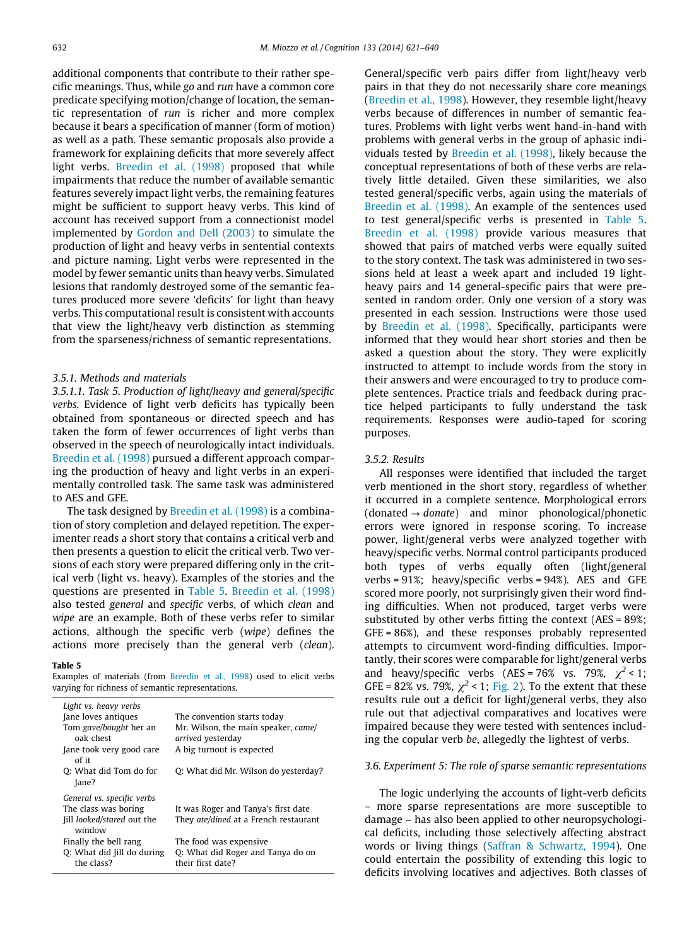<span id="page-11-0"></span>

additional components that contribute to their rather specific meanings. Thus, while go and run have a common core predicate specifying motion/change of location, the semantic representation of run is richer and more complex because it bears a specification of manner (form of motion) as well as a path. These semantic proposals also provide a framework for explaining deficits that more severely affect light verbs. [Breedin et al. \(1998\)](#page-17-0) proposed that while impairments that reduce the number of available semantic features severely impact light verbs, the remaining features might be sufficient to support heavy verbs. This kind of account has received support from a connectionist model implemented by [Gordon and Dell \(2003\)](#page-18-0) to simulate the production of light and heavy verbs in sentential contexts and picture naming. Light verbs were represented in the model by fewer semantic units than heavy verbs. Simulated lesions that randomly destroyed some of the semantic features produced more severe 'deficits' for light than heavy verbs. This computational result is consistent with accounts that view the light/heavy verb distinction as stemming from the sparseness/richness of semantic representations.

#### 3.5.1. Methods and materials

3.5.1.1. Task 5. Production of light/heavy and general/specific verbs. Evidence of light verb deficits has typically been obtained from spontaneous or directed speech and has taken the form of fewer occurrences of light verbs than observed in the speech of neurologically intact individuals. [Breedin et al. \(1998\)](#page-17-0) pursued a different approach comparing the production of heavy and light verbs in an experimentally controlled task. The same task was administered to AES and GFE.

The task designed by [Breedin et al. \(1998\)](#page-17-0) is a combination of story completion and delayed repetition. The experimenter reads a short story that contains a critical verb and then presents a question to elicit the critical verb. Two versions of each story were prepared differing only in the critical verb (light vs. heavy). Examples of the stories and the questions are presented in Table 5. [Breedin et al. \(1998\)](#page-17-0) also tested general and specific verbs, of which clean and wipe are an example. Both of these verbs refer to similar actions, although the specific verb (wipe) defines the actions more precisely than the general verb (clean).

#### Table 5

Light vs. heavy verbs

Examples of materials (from [Breedin et al., 1998\)](#page-17-0) used to elicit verbs varying for richness of semantic representations.

| Light vs. heavy verps                       |                                                          |
|---------------------------------------------|----------------------------------------------------------|
| Jane loves antiques                         | The convention starts today                              |
| Tom gave/bought her an<br>oak chest         | Mr. Wilson, the main speaker, came/<br>arrived yesterday |
| Jane took very good care<br>of it           | A big turnout is expected                                |
| Q: What did Tom do for<br>Jane?             | Q: What did Mr. Wilson do yesterday?                     |
| General vs. specific verbs                  |                                                          |
| The class was boring                        | It was Roger and Tanya's first date                      |
| Jill <i>looked/stared</i> out the<br>window | They ate/dined at a French restaurant                    |
| Finally the bell rang                       | The food was expensive                                   |
| Q: What did Jill do during<br>the class?    | Q: What did Roger and Tanya do on<br>their first date?   |
|                                             |                                                          |

General/specific verb pairs differ from light/heavy verb pairs in that they do not necessarily share core meanings [\(Breedin et al., 1998\)](#page-17-0). However, they resemble light/heavy verbs because of differences in number of semantic features. Problems with light verbs went hand-in-hand with problems with general verbs in the group of aphasic individuals tested by [Breedin et al. \(1998\),](#page-17-0) likely because the conceptual representations of both of these verbs are relatively little detailed. Given these similarities, we also tested general/specific verbs, again using the materials of [Breedin et al. \(1998\)](#page-17-0). An example of the sentences used to test general/specific verbs is presented in Table 5. [Breedin et al. \(1998\)](#page-17-0) provide various measures that showed that pairs of matched verbs were equally suited to the story context. The task was administered in two sessions held at least a week apart and included 19 lightheavy pairs and 14 general-specific pairs that were presented in random order. Only one version of a story was presented in each session. Instructions were those used by [Breedin et al. \(1998\).](#page-17-0) Specifically, participants were informed that they would hear short stories and then be asked a question about the story. They were explicitly instructed to attempt to include words from the story in their answers and were encouraged to try to produce complete sentences. Practice trials and feedback during practice helped participants to fully understand the task requirements. Responses were audio-taped for scoring purposes.

#### 3.5.2. Results

All responses were identified that included the target verb mentioned in the short story, regardless of whether it occurred in a complete sentence. Morphological errors  $(donated \rightarrow *donate*)$  and minor phonological/phonetic errors were ignored in response scoring. To increase power, light/general verbs were analyzed together with heavy/specific verbs. Normal control participants produced both types of verbs equally often (light/general  $vers = 91%$ ; heavy/specific verbs = 94%). AES and GFE scored more poorly, not surprisingly given their word finding difficulties. When not produced, target verbs were substituted by other verbs fitting the context (AES = 89%; GFE = 86%), and these responses probably represented attempts to circumvent word-finding difficulties. Importantly, their scores were comparable for light/general verbs and heavy/specific verbs (AES = 76% vs. 79%,  $\chi^2$  < 1; GFE = 82% vs. 79%,  $\chi^2$  < 1; [Fig. 2](#page-3-0)). To the extent that these results rule out a deficit for light/general verbs, they also rule out that adjectival comparatives and locatives were impaired because they were tested with sentences including the copular verb be, allegedly the lightest of verbs.

## 3.6. Experiment 5: The role of sparse semantic representations

The logic underlying the accounts of light-verb deficits – more sparse representations are more susceptible to damage – has also been applied to other neuropsychological deficits, including those selectively affecting abstract words or living things [\(Saffran & Schwartz, 1994](#page-19-0)). One could entertain the possibility of extending this logic to deficits involving locatives and adjectives. Both classes of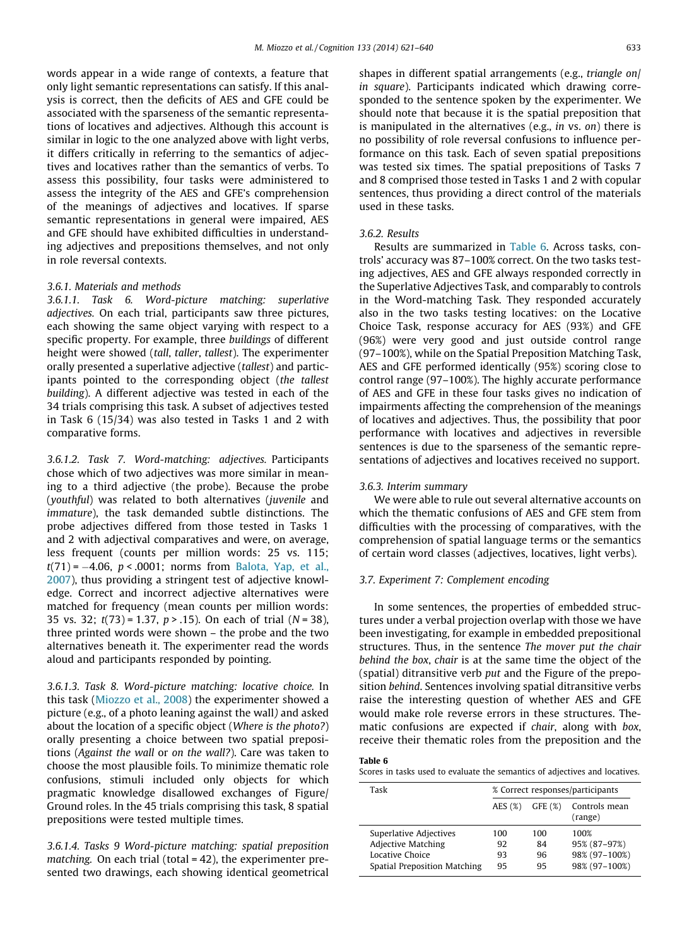<span id="page-12-0"></span>words appear in a wide range of contexts, a feature that only light semantic representations can satisfy. If this analysis is correct, then the deficits of AES and GFE could be associated with the sparseness of the semantic representations of locatives and adjectives. Although this account is similar in logic to the one analyzed above with light verbs, it differs critically in referring to the semantics of adjectives and locatives rather than the semantics of verbs. To assess this possibility, four tasks were administered to assess the integrity of the AES and GFE's comprehension of the meanings of adjectives and locatives. If sparse semantic representations in general were impaired, AES and GFE should have exhibited difficulties in understanding adjectives and prepositions themselves, and not only in role reversal contexts.

## 3.6.1. Materials and methods

3.6.1.1. Task 6. Word-picture matching: superlative adjectives. On each trial, participants saw three pictures, each showing the same object varying with respect to a specific property. For example, three buildings of different height were showed (tall, taller, tallest). The experimenter orally presented a superlative adjective (tallest) and participants pointed to the corresponding object (the tallest building). A different adjective was tested in each of the 34 trials comprising this task. A subset of adjectives tested in Task 6 (15/34) was also tested in Tasks 1 and 2 with comparative forms.

3.6.1.2. Task 7. Word-matching: adjectives. Participants chose which of two adjectives was more similar in meaning to a third adjective (the probe). Because the probe (youthful) was related to both alternatives (juvenile and immature), the task demanded subtle distinctions. The probe adjectives differed from those tested in Tasks 1 and 2 with adjectival comparatives and were, on average, less frequent (counts per million words: 25 vs. 115; t(71) = -4.06, p < .0001; norms from [Balota, Yap, et al.,](#page-17-0) [2007\)](#page-17-0), thus providing a stringent test of adjective knowledge. Correct and incorrect adjective alternatives were matched for frequency (mean counts per million words: 35 vs. 32;  $t(73) = 1.37$ ,  $p > .15$ ). On each of trial ( $N = 38$ ), three printed words were shown – the probe and the two alternatives beneath it. The experimenter read the words aloud and participants responded by pointing.

3.6.1.3. Task 8. Word-picture matching: locative choice. In this task ([Miozzo et al., 2008](#page-18-0)) the experimenter showed a picture (e.g., of a photo leaning against the wall) and asked about the location of a specific object (Where is the photo?) orally presenting a choice between two spatial prepositions (Against the wall or on the wall?). Care was taken to choose the most plausible foils. To minimize thematic role confusions, stimuli included only objects for which pragmatic knowledge disallowed exchanges of Figure/ Ground roles. In the 45 trials comprising this task, 8 spatial prepositions were tested multiple times.

3.6.1.4. Tasks 9 Word-picture matching: spatial preposition matching. On each trial (total  $= 42$ ), the experimenter presented two drawings, each showing identical geometrical

shapes in different spatial arrangements (e.g., triangle on/ in square). Participants indicated which drawing corresponded to the sentence spoken by the experimenter. We should note that because it is the spatial preposition that is manipulated in the alternatives (e.g., in vs. on) there is no possibility of role reversal confusions to influence performance on this task. Each of seven spatial prepositions was tested six times. The spatial prepositions of Tasks 7 and 8 comprised those tested in Tasks 1 and 2 with copular sentences, thus providing a direct control of the materials used in these tasks.

## 3.6.2. Results

Results are summarized in Table 6. Across tasks, controls' accuracy was 87–100% correct. On the two tasks testing adjectives, AES and GFE always responded correctly in the Superlative Adjectives Task, and comparably to controls in the Word-matching Task. They responded accurately also in the two tasks testing locatives: on the Locative Choice Task, response accuracy for AES (93%) and GFE (96%) were very good and just outside control range (97–100%), while on the Spatial Preposition Matching Task, AES and GFE performed identically (95%) scoring close to control range (97–100%). The highly accurate performance of AES and GFE in these four tasks gives no indication of impairments affecting the comprehension of the meanings of locatives and adjectives. Thus, the possibility that poor performance with locatives and adjectives in reversible sentences is due to the sparseness of the semantic representations of adjectives and locatives received no support.

# 3.6.3. Interim summary

We were able to rule out several alternative accounts on which the thematic confusions of AES and GFE stem from difficulties with the processing of comparatives, with the comprehension of spatial language terms or the semantics of certain word classes (adjectives, locatives, light verbs).

## 3.7. Experiment 7: Complement encoding

In some sentences, the properties of embedded structures under a verbal projection overlap with those we have been investigating, for example in embedded prepositional structures. Thus, in the sentence The mover put the chair behind the box, chair is at the same time the object of the (spatial) ditransitive verb put and the Figure of the preposition behind. Sentences involving spatial ditransitive verbs raise the interesting question of whether AES and GFE would make role reverse errors in these structures. Thematic confusions are expected if chair, along with box, receive their thematic roles from the preposition and the

|  | л |  |  |
|--|---|--|--|
|--|---|--|--|

Scores in tasks used to evaluate the semantics of adjectives and locatives.

| Task                         | % Correct responses/participants |        |                          |
|------------------------------|----------------------------------|--------|--------------------------|
|                              | AES(%)                           | GFE(%) | Controls mean<br>(range) |
| Superlative Adjectives       | 100                              | 100    | 100%                     |
| <b>Adjective Matching</b>    | 92                               | 84     | 95% (87-97%)             |
| Locative Choice              | 93                               | 96     | 98% (97-100%)            |
| Spatial Preposition Matching | 95                               | 95     | 98% (97-100%)            |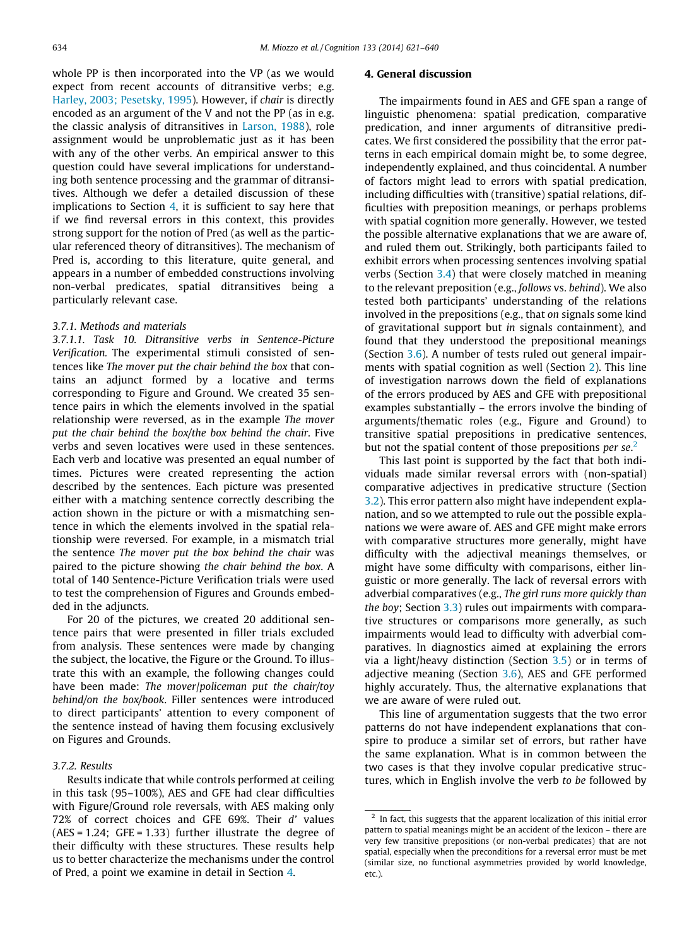<span id="page-13-0"></span>whole PP is then incorporated into the VP (as we would expect from recent accounts of ditransitive verbs; e.g. [Harley, 2003; Pesetsky, 1995\)](#page-18-0). However, if chair is directly encoded as an argument of the V and not the PP (as in e.g. the classic analysis of ditransitives in [Larson, 1988](#page-18-0)), role assignment would be unproblematic just as it has been with any of the other verbs. An empirical answer to this question could have several implications for understanding both sentence processing and the grammar of ditransitives. Although we defer a detailed discussion of these implications to Section 4, it is sufficient to say here that if we find reversal errors in this context, this provides strong support for the notion of Pred (as well as the particular referenced theory of ditransitives). The mechanism of Pred is, according to this literature, quite general, and appears in a number of embedded constructions involving non-verbal predicates, spatial ditransitives being a particularly relevant case.

#### 3.7.1. Methods and materials

3.7.1.1. Task 10. Ditransitive verbs in Sentence-Picture Verification. The experimental stimuli consisted of sentences like The mover put the chair behind the box that contains an adjunct formed by a locative and terms corresponding to Figure and Ground. We created 35 sentence pairs in which the elements involved in the spatial relationship were reversed, as in the example The mover put the chair behind the box/the box behind the chair. Five verbs and seven locatives were used in these sentences. Each verb and locative was presented an equal number of times. Pictures were created representing the action described by the sentences. Each picture was presented either with a matching sentence correctly describing the action shown in the picture or with a mismatching sentence in which the elements involved in the spatial relationship were reversed. For example, in a mismatch trial the sentence The mover put the box behind the chair was paired to the picture showing the chair behind the box. A total of 140 Sentence-Picture Verification trials were used to test the comprehension of Figures and Grounds embedded in the adjuncts.

For 20 of the pictures, we created 20 additional sentence pairs that were presented in filler trials excluded from analysis. These sentences were made by changing the subject, the locative, the Figure or the Ground. To illustrate this with an example, the following changes could have been made: The mover/policeman put the chair/toy behind/on the box/book. Filler sentences were introduced to direct participants' attention to every component of the sentence instead of having them focusing exclusively on Figures and Grounds.

#### 3.7.2. Results

Results indicate that while controls performed at ceiling in this task (95–100%), AES and GFE had clear difficulties with Figure/Ground role reversals, with AES making only 72% of correct choices and GFE 69%. Their d' values  $(AES = 1.24; GFE = 1.33)$  further illustrate the degree of their difficulty with these structures. These results help us to better characterize the mechanisms under the control of Pred, a point we examine in detail in Section 4.

## 4. General discussion

The impairments found in AES and GFE span a range of linguistic phenomena: spatial predication, comparative predication, and inner arguments of ditransitive predicates. We first considered the possibility that the error patterns in each empirical domain might be, to some degree, independently explained, and thus coincidental. A number of factors might lead to errors with spatial predication, including difficulties with (transitive) spatial relations, difficulties with preposition meanings, or perhaps problems with spatial cognition more generally. However, we tested the possible alternative explanations that we are aware of, and ruled them out. Strikingly, both participants failed to exhibit errors when processing sentences involving spatial verbs (Section [3.4](#page-9-0)) that were closely matched in meaning to the relevant preposition (e.g., follows vs. behind). We also tested both participants' understanding of the relations involved in the prepositions (e.g., that on signals some kind of gravitational support but in signals containment), and found that they understood the prepositional meanings (Section [3.6](#page-11-0)). A number of tests ruled out general impairments with spatial cognition as well (Section [2\)](#page-4-0). This line of investigation narrows down the field of explanations of the errors produced by AES and GFE with prepositional examples substantially – the errors involve the binding of arguments/thematic roles (e.g., Figure and Ground) to transitive spatial prepositions in predicative sentences, but not the spatial content of those prepositions per se.<sup>2</sup>

This last point is supported by the fact that both individuals made similar reversal errors with (non-spatial) comparative adjectives in predicative structure (Section [3.2\)](#page-7-0). This error pattern also might have independent explanation, and so we attempted to rule out the possible explanations we were aware of. AES and GFE might make errors with comparative structures more generally, might have difficulty with the adjectival meanings themselves, or might have some difficulty with comparisons, either linguistic or more generally. The lack of reversal errors with adverbial comparatives (e.g., The girl runs more quickly than the boy; Section [3.3\)](#page-9-0) rules out impairments with comparative structures or comparisons more generally, as such impairments would lead to difficulty with adverbial comparatives. In diagnostics aimed at explaining the errors via a light/heavy distinction (Section  $3.5$ ) or in terms of adjective meaning (Section  $3.6$ ), AES and GFE performed highly accurately. Thus, the alternative explanations that we are aware of were ruled out.

This line of argumentation suggests that the two error patterns do not have independent explanations that conspire to produce a similar set of errors, but rather have the same explanation. What is in common between the two cases is that they involve copular predicative structures, which in English involve the verb to be followed by

<sup>&</sup>lt;sup>2</sup> In fact, this suggests that the apparent localization of this initial error pattern to spatial meanings might be an accident of the lexicon – there are very few transitive prepositions (or non-verbal predicates) that are not spatial, especially when the preconditions for a reversal error must be met (similar size, no functional asymmetries provided by world knowledge, etc.).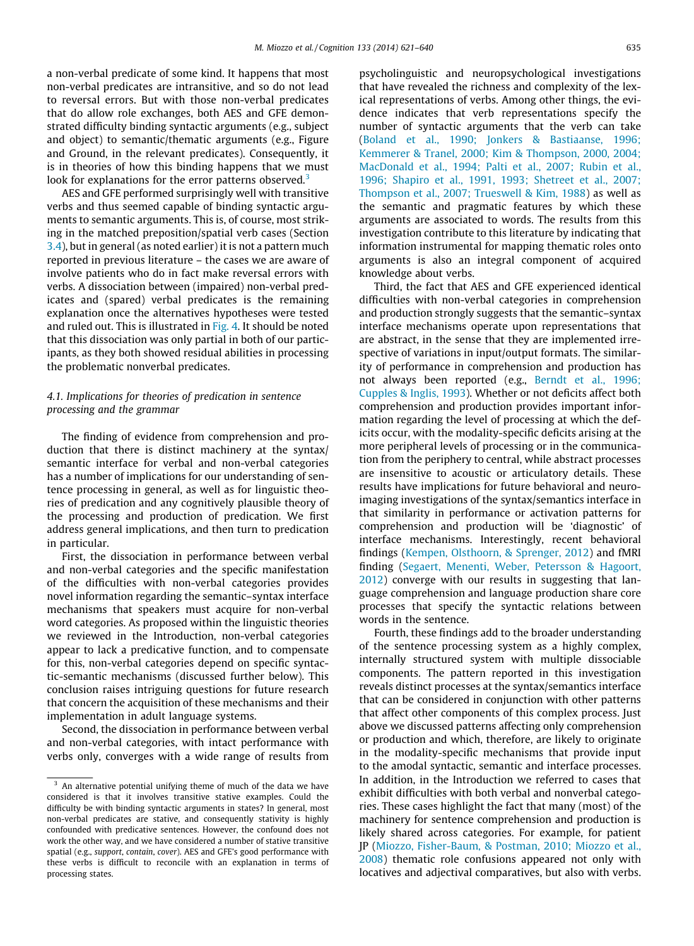a non-verbal predicate of some kind. It happens that most non-verbal predicates are intransitive, and so do not lead to reversal errors. But with those non-verbal predicates that do allow role exchanges, both AES and GFE demonstrated difficulty binding syntactic arguments (e.g., subject and object) to semantic/thematic arguments (e.g., Figure and Ground, in the relevant predicates). Consequently, it is in theories of how this binding happens that we must look for explanations for the error patterns observed.<sup>3</sup>

AES and GFE performed surprisingly well with transitive verbs and thus seemed capable of binding syntactic arguments to semantic arguments. This is, of course, most striking in the matched preposition/spatial verb cases (Section [3.4](#page-9-0)), but in general (as noted earlier) it is not a pattern much reported in previous literature – the cases we are aware of involve patients who do in fact make reversal errors with verbs. A dissociation between (impaired) non-verbal predicates and (spared) verbal predicates is the remaining explanation once the alternatives hypotheses were tested and ruled out. This is illustrated in [Fig. 4.](#page-15-0) It should be noted that this dissociation was only partial in both of our participants, as they both showed residual abilities in processing the problematic nonverbal predicates.

# 4.1. Implications for theories of predication in sentence processing and the grammar

The finding of evidence from comprehension and production that there is distinct machinery at the syntax/ semantic interface for verbal and non-verbal categories has a number of implications for our understanding of sentence processing in general, as well as for linguistic theories of predication and any cognitively plausible theory of the processing and production of predication. We first address general implications, and then turn to predication in particular.

First, the dissociation in performance between verbal and non-verbal categories and the specific manifestation of the difficulties with non-verbal categories provides novel information regarding the semantic–syntax interface mechanisms that speakers must acquire for non-verbal word categories. As proposed within the linguistic theories we reviewed in the Introduction, non-verbal categories appear to lack a predicative function, and to compensate for this, non-verbal categories depend on specific syntactic-semantic mechanisms (discussed further below). This conclusion raises intriguing questions for future research that concern the acquisition of these mechanisms and their implementation in adult language systems.

Second, the dissociation in performance between verbal and non-verbal categories, with intact performance with verbs only, converges with a wide range of results from

psycholinguistic and neuropsychological investigations that have revealed the richness and complexity of the lexical representations of verbs. Among other things, the evidence indicates that verb representations specify the number of syntactic arguments that the verb can take [\(Boland et al., 1990; Jonkers & Bastiaanse, 1996;](#page-17-0) [Kemmerer & Tranel, 2000; Kim & Thompson, 2000, 2004;](#page-17-0) [MacDonald et al., 1994; Palti et al., 2007; Rubin et al.,](#page-17-0) [1996; Shapiro et al., 1991, 1993; Shetreet et al., 2007;](#page-17-0) [Thompson et al., 2007; Trueswell & Kim, 1988\)](#page-17-0) as well as the semantic and pragmatic features by which these arguments are associated to words. The results from this investigation contribute to this literature by indicating that information instrumental for mapping thematic roles onto arguments is also an integral component of acquired knowledge about verbs.

Third, the fact that AES and GFE experienced identical difficulties with non-verbal categories in comprehension and production strongly suggests that the semantic–syntax interface mechanisms operate upon representations that are abstract, in the sense that they are implemented irrespective of variations in input/output formats. The similarity of performance in comprehension and production has not always been reported (e.g., [Berndt et al., 1996;](#page-17-0) [Cupples & Inglis, 1993\)](#page-17-0). Whether or not deficits affect both comprehension and production provides important information regarding the level of processing at which the deficits occur, with the modality-specific deficits arising at the more peripheral levels of processing or in the communication from the periphery to central, while abstract processes are insensitive to acoustic or articulatory details. These results have implications for future behavioral and neuroimaging investigations of the syntax/semantics interface in that similarity in performance or activation patterns for comprehension and production will be 'diagnostic' of interface mechanisms. Interestingly, recent behavioral findings [\(Kempen, Olsthoorn, & Sprenger, 2012](#page-18-0)) and fMRI finding [\(Segaert, Menenti, Weber, Petersson & Hagoort,](#page-19-0) [2012\)](#page-19-0) converge with our results in suggesting that language comprehension and language production share core processes that specify the syntactic relations between words in the sentence.

Fourth, these findings add to the broader understanding of the sentence processing system as a highly complex, internally structured system with multiple dissociable components. The pattern reported in this investigation reveals distinct processes at the syntax/semantics interface that can be considered in conjunction with other patterns that affect other components of this complex process. Just above we discussed patterns affecting only comprehension or production and which, therefore, are likely to originate in the modality-specific mechanisms that provide input to the amodal syntactic, semantic and interface processes. In addition, in the Introduction we referred to cases that exhibit difficulties with both verbal and nonverbal categories. These cases highlight the fact that many (most) of the machinery for sentence comprehension and production is likely shared across categories. For example, for patient JP [\(Miozzo, Fisher-Baum, & Postman, 2010; Miozzo et al.,](#page-18-0) [2008\)](#page-18-0) thematic role confusions appeared not only with locatives and adjectival comparatives, but also with verbs.

 $3$  An alternative potential unifying theme of much of the data we have considered is that it involves transitive stative examples. Could the difficulty be with binding syntactic arguments in states? In general, most non-verbal predicates are stative, and consequently stativity is highly confounded with predicative sentences. However, the confound does not work the other way, and we have considered a number of stative transitive spatial (e.g., support, contain, cover). AES and GFE's good performance with these verbs is difficult to reconcile with an explanation in terms of processing states.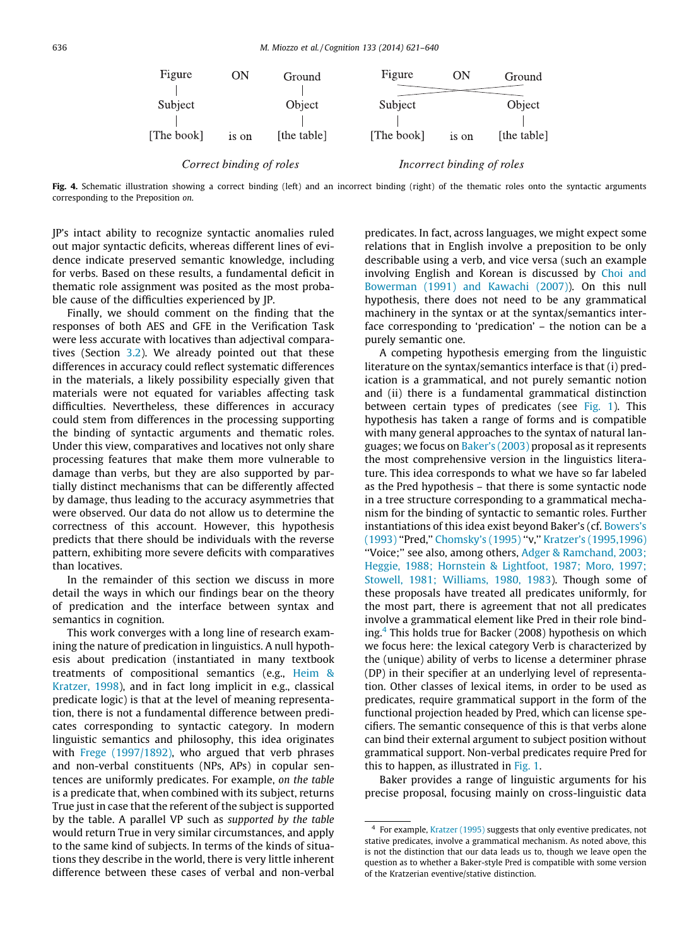<span id="page-15-0"></span>

Fig. 4. Schematic illustration showing a correct binding (left) and an incorrect binding (right) of the thematic roles onto the syntactic arguments corresponding to the Preposition on.

JP's intact ability to recognize syntactic anomalies ruled out major syntactic deficits, whereas different lines of evidence indicate preserved semantic knowledge, including for verbs. Based on these results, a fundamental deficit in thematic role assignment was posited as the most probable cause of the difficulties experienced by JP.

Finally, we should comment on the finding that the responses of both AES and GFE in the Verification Task were less accurate with locatives than adjectival comparatives (Section [3.2\)](#page-7-0). We already pointed out that these differences in accuracy could reflect systematic differences in the materials, a likely possibility especially given that materials were not equated for variables affecting task difficulties. Nevertheless, these differences in accuracy could stem from differences in the processing supporting the binding of syntactic arguments and thematic roles. Under this view, comparatives and locatives not only share processing features that make them more vulnerable to damage than verbs, but they are also supported by partially distinct mechanisms that can be differently affected by damage, thus leading to the accuracy asymmetries that were observed. Our data do not allow us to determine the correctness of this account. However, this hypothesis predicts that there should be individuals with the reverse pattern, exhibiting more severe deficits with comparatives than locatives.

In the remainder of this section we discuss in more detail the ways in which our findings bear on the theory of predication and the interface between syntax and semantics in cognition.

This work converges with a long line of research examining the nature of predication in linguistics. A null hypothesis about predication (instantiated in many textbook treatments of compositional semantics (e.g., [Heim &](#page-18-0) [Kratzer, 1998](#page-18-0)), and in fact long implicit in e.g., classical predicate logic) is that at the level of meaning representation, there is not a fundamental difference between predicates corresponding to syntactic category. In modern linguistic semantics and philosophy, this idea originates with [Frege \(1997/1892\),](#page-18-0) who argued that verb phrases and non-verbal constituents (NPs, APs) in copular sentences are uniformly predicates. For example, on the table is a predicate that, when combined with its subject, returns True just in case that the referent of the subject is supported by the table. A parallel VP such as supported by the table would return True in very similar circumstances, and apply to the same kind of subjects. In terms of the kinds of situations they describe in the world, there is very little inherent difference between these cases of verbal and non-verbal predicates. In fact, across languages, we might expect some relations that in English involve a preposition to be only describable using a verb, and vice versa (such an example involving English and Korean is discussed by [Choi and](#page-18-0) [Bowerman \(1991\) and Kawachi \(2007\)\)](#page-18-0). On this null hypothesis, there does not need to be any grammatical machinery in the syntax or at the syntax/semantics interface corresponding to 'predication' – the notion can be a purely semantic one.

A competing hypothesis emerging from the linguistic literature on the syntax/semantics interface is that (i) predication is a grammatical, and not purely semantic notion and (ii) there is a fundamental grammatical distinction between certain types of predicates (see [Fig. 1](#page-2-0)). This hypothesis has taken a range of forms and is compatible with many general approaches to the syntax of natural languages; we focus on [Baker's \(2003\)](#page-17-0) proposal as it represents the most comprehensive version in the linguistics literature. This idea corresponds to what we have so far labeled as the Pred hypothesis – that there is some syntactic node in a tree structure corresponding to a grammatical mechanism for the binding of syntactic to semantic roles. Further instantiations of this idea exist beyond Baker's (cf. [Bowers's](#page-17-0) [\(1993\)](#page-17-0) ''Pred,'' [Chomsky's \(1995\)](#page-18-0) ''v,'' [Kratzer's \(1995,1996\)](#page-18-0) ''Voice;'' see also, among others, [Adger & Ramchand, 2003;](#page-17-0) [Heggie, 1988; Hornstein & Lightfoot, 1987; Moro, 1997;](#page-17-0) [Stowell, 1981; Williams, 1980, 1983\)](#page-19-0). Though some of these proposals have treated all predicates uniformly, for the most part, there is agreement that not all predicates involve a grammatical element like Pred in their role binding.4 This holds true for Backer (2008) hypothesis on which we focus here: the lexical category Verb is characterized by the (unique) ability of verbs to license a determiner phrase (DP) in their specifier at an underlying level of representation. Other classes of lexical items, in order to be used as predicates, require grammatical support in the form of the functional projection headed by Pred, which can license specifiers. The semantic consequence of this is that verbs alone can bind their external argument to subject position without grammatical support. Non-verbal predicates require Pred for this to happen, as illustrated in [Fig. 1](#page-2-0).

Baker provides a range of linguistic arguments for his precise proposal, focusing mainly on cross-linguistic data

<sup>4</sup> For example, [Kratzer \(1995\)](#page-18-0) suggests that only eventive predicates, not stative predicates, involve a grammatical mechanism. As noted above, this is not the distinction that our data leads us to, though we leave open the question as to whether a Baker-style Pred is compatible with some version of the Kratzerian eventive/stative distinction.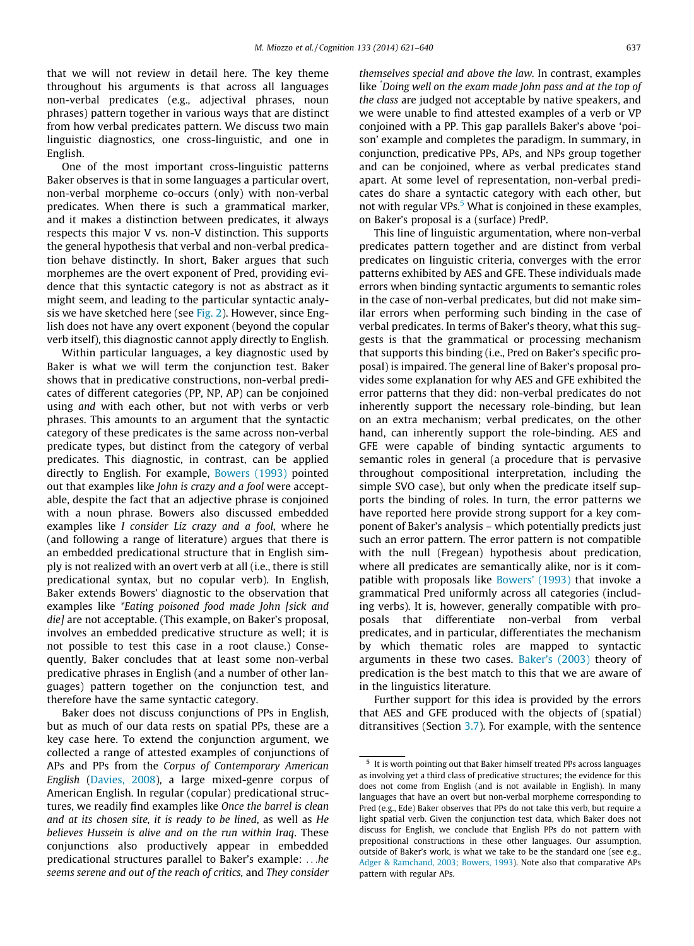that we will not review in detail here. The key theme throughout his arguments is that across all languages non-verbal predicates (e.g., adjectival phrases, noun phrases) pattern together in various ways that are distinct from how verbal predicates pattern. We discuss two main linguistic diagnostics, one cross-linguistic, and one in English.

One of the most important cross-linguistic patterns Baker observes is that in some languages a particular overt, non-verbal morpheme co-occurs (only) with non-verbal predicates. When there is such a grammatical marker, and it makes a distinction between predicates, it always respects this major V vs. non-V distinction. This supports the general hypothesis that verbal and non-verbal predication behave distinctly. In short, Baker argues that such morphemes are the overt exponent of Pred, providing evidence that this syntactic category is not as abstract as it might seem, and leading to the particular syntactic analysis we have sketched here (see [Fig. 2](#page-3-0)). However, since English does not have any overt exponent (beyond the copular verb itself), this diagnostic cannot apply directly to English.

Within particular languages, a key diagnostic used by Baker is what we will term the conjunction test. Baker shows that in predicative constructions, non-verbal predicates of different categories (PP, NP, AP) can be conjoined using and with each other, but not with verbs or verb phrases. This amounts to an argument that the syntactic category of these predicates is the same across non-verbal predicate types, but distinct from the category of verbal predicates. This diagnostic, in contrast, can be applied directly to English. For example, [Bowers \(1993\)](#page-17-0) pointed out that examples like John is crazy and a fool were acceptable, despite the fact that an adjective phrase is conjoined with a noun phrase. Bowers also discussed embedded examples like I consider Liz crazy and a fool, where he (and following a range of literature) argues that there is an embedded predicational structure that in English simply is not realized with an overt verb at all (i.e., there is still predicational syntax, but no copular verb). In English, Baker extends Bowers' diagnostic to the observation that examples like \*Eating poisoned food made John [sick and die] are not acceptable. (This example, on Baker's proposal, involves an embedded predicative structure as well; it is not possible to test this case in a root clause.) Consequently, Baker concludes that at least some non-verbal predicative phrases in English (and a number of other languages) pattern together on the conjunction test, and therefore have the same syntactic category.

Baker does not discuss conjunctions of PPs in English, but as much of our data rests on spatial PPs, these are a key case here. To extend the conjunction argument, we collected a range of attested examples of conjunctions of APs and PPs from the Corpus of Contemporary American English [\(Davies, 2008](#page-18-0)), a large mixed-genre corpus of American English. In regular (copular) predicational structures, we readily find examples like Once the barrel is clean and at its chosen site, it is ready to be lined, as well as He believes Hussein is alive and on the run within Iraq. These conjunctions also productively appear in embedded predicational structures parallel to Baker's example: ...he seems serene and out of the reach of critics, and They consider themselves special and above the law. In contrast, examples like \* Doing well on the exam made John pass and at the top of the class are judged not acceptable by native speakers, and we were unable to find attested examples of a verb or VP conjoined with a PP. This gap parallels Baker's above 'poison' example and completes the paradigm. In summary, in conjunction, predicative PPs, APs, and NPs group together and can be conjoined, where as verbal predicates stand apart. At some level of representation, non-verbal predicates do share a syntactic category with each other, but not with regular VPs.<sup>5</sup> What is conjoined in these examples, on Baker's proposal is a (surface) PredP.

This line of linguistic argumentation, where non-verbal predicates pattern together and are distinct from verbal predicates on linguistic criteria, converges with the error patterns exhibited by AES and GFE. These individuals made errors when binding syntactic arguments to semantic roles in the case of non-verbal predicates, but did not make similar errors when performing such binding in the case of verbal predicates. In terms of Baker's theory, what this suggests is that the grammatical or processing mechanism that supports this binding (i.e., Pred on Baker's specific proposal) is impaired. The general line of Baker's proposal provides some explanation for why AES and GFE exhibited the error patterns that they did: non-verbal predicates do not inherently support the necessary role-binding, but lean on an extra mechanism; verbal predicates, on the other hand, can inherently support the role-binding. AES and GFE were capable of binding syntactic arguments to semantic roles in general (a procedure that is pervasive throughout compositional interpretation, including the simple SVO case), but only when the predicate itself supports the binding of roles. In turn, the error patterns we have reported here provide strong support for a key component of Baker's analysis – which potentially predicts just such an error pattern. The error pattern is not compatible with the null (Fregean) hypothesis about predication, where all predicates are semantically alike, nor is it compatible with proposals like [Bowers' \(1993\)](#page-17-0) that invoke a grammatical Pred uniformly across all categories (including verbs). It is, however, generally compatible with proposals that differentiate non-verbal from verbal predicates, and in particular, differentiates the mechanism by which thematic roles are mapped to syntactic arguments in these two cases. [Baker's \(2003\)](#page-17-0) theory of predication is the best match to this that we are aware of in the linguistics literature.

Further support for this idea is provided by the errors that AES and GFE produced with the objects of (spatial) ditransitives (Section [3.7](#page-12-0)). For example, with the sentence

It is worth pointing out that Baker himself treated PPs across languages as involving yet a third class of predicative structures; the evidence for this does not come from English (and is not available in English). In many languages that have an overt but non-verbal morpheme corresponding to Pred (e.g., Ede) Baker observes that PPs do not take this verb, but require a light spatial verb. Given the conjunction test data, which Baker does not discuss for English, we conclude that English PPs do not pattern with prepositional constructions in these other languages. Our assumption, outside of Baker's work, is what we take to be the standard one (see e.g., [Adger & Ramchand, 2003; Bowers, 1993\)](#page-17-0). Note also that comparative APs pattern with regular APs.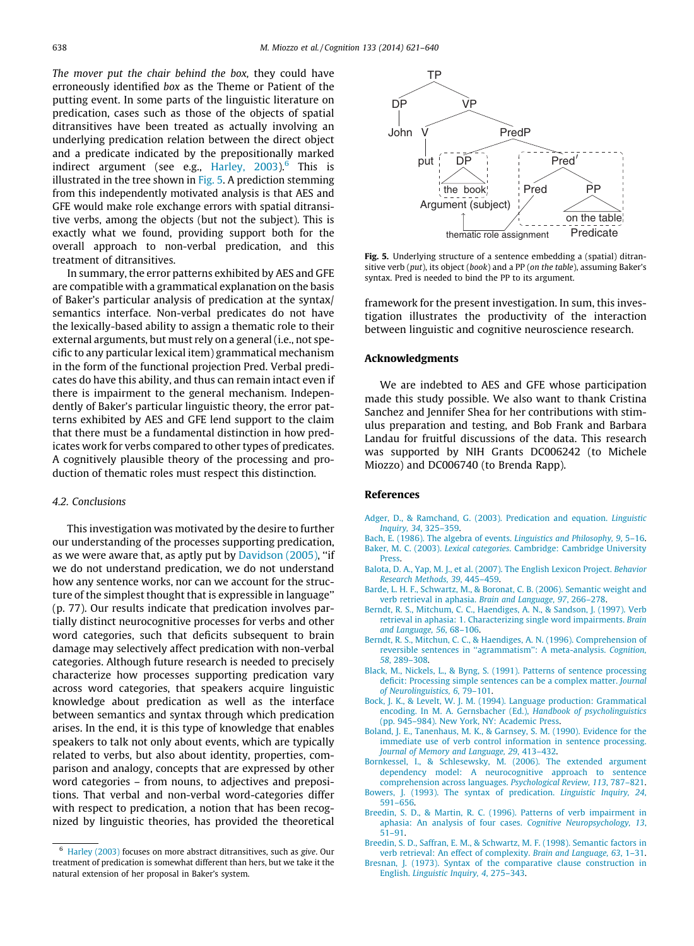<span id="page-17-0"></span>The mover put the chair behind the box, they could have erroneously identified box as the Theme or Patient of the putting event. In some parts of the linguistic literature on predication, cases such as those of the objects of spatial ditransitives have been treated as actually involving an underlying predication relation between the direct object and a predicate indicated by the prepositionally marked indirect argument (see e.g., Harley,  $2003$ ).<sup>6</sup> This is illustrated in the tree shown in Fig. 5. A prediction stemming from this independently motivated analysis is that AES and GFE would make role exchange errors with spatial ditransitive verbs, among the objects (but not the subject). This is exactly what we found, providing support both for the overall approach to non-verbal predication, and this treatment of ditransitives.

In summary, the error patterns exhibited by AES and GFE are compatible with a grammatical explanation on the basis of Baker's particular analysis of predication at the syntax/ semantics interface. Non-verbal predicates do not have the lexically-based ability to assign a thematic role to their external arguments, but must rely on a general (i.e., not specific to any particular lexical item) grammatical mechanism in the form of the functional projection Pred. Verbal predicates do have this ability, and thus can remain intact even if there is impairment to the general mechanism. Independently of Baker's particular linguistic theory, the error patterns exhibited by AES and GFE lend support to the claim that there must be a fundamental distinction in how predicates work for verbs compared to other types of predicates. A cognitively plausible theory of the processing and production of thematic roles must respect this distinction.

#### 4.2. Conclusions

This investigation was motivated by the desire to further our understanding of the processes supporting predication, as we were aware that, as aptly put by [Davidson \(2005\)](#page-18-0), ''if we do not understand predication, we do not understand how any sentence works, nor can we account for the structure of the simplest thought that is expressible in language'' (p. 77). Our results indicate that predication involves partially distinct neurocognitive processes for verbs and other word categories, such that deficits subsequent to brain damage may selectively affect predication with non-verbal categories. Although future research is needed to precisely characterize how processes supporting predication vary across word categories, that speakers acquire linguistic knowledge about predication as well as the interface between semantics and syntax through which predication arises. In the end, it is this type of knowledge that enables speakers to talk not only about events, which are typically related to verbs, but also about identity, properties, comparison and analogy, concepts that are expressed by other word categories – from nouns, to adjectives and prepositions. That verbal and non-verbal word-categories differ with respect to predication, a notion that has been recognized by linguistic theories, has provided the theoretical



Fig. 5. Underlying structure of a sentence embedding a (spatial) ditransitive verb ( $put$ ), its object ( $book$ ) and a PP (on the table), assuming Baker's syntax. Pred is needed to bind the PP to its argument.

framework for the present investigation. In sum, this investigation illustrates the productivity of the interaction between linguistic and cognitive neuroscience research.

# Acknowledgments

We are indebted to AES and GFE whose participation made this study possible. We also want to thank Cristina Sanchez and Jennifer Shea for her contributions with stimulus preparation and testing, and Bob Frank and Barbara Landau for fruitful discussions of the data. This research was supported by NIH Grants DC006242 (to Michele Miozzo) and DC006740 (to Brenda Rapp).

# References

- [Adger, D., & Ramchand, G. \(2003\). Predication and equation.](http://refhub.elsevier.com/S0010-0277(14)00161-9/h0005) Linguistic [Inquiry, 34](http://refhub.elsevier.com/S0010-0277(14)00161-9/h0005), 325–359.
- [Bach, E. \(1986\). The algebra of events.](http://refhub.elsevier.com/S0010-0277(14)00161-9/h0010) Linguistics and Philosophy, 9, 5–16. Baker, M. C. (2003). Lexical categories[. Cambridge: Cambridge University](http://refhub.elsevier.com/S0010-0277(14)00161-9/h0015) **[Press.](http://refhub.elsevier.com/S0010-0277(14)00161-9/h0015)**
- [Balota, D. A., Yap, M. J., et al. \(2007\). The English Lexicon Project.](http://refhub.elsevier.com/S0010-0277(14)00161-9/h0020) Behavior [Research Methods, 39](http://refhub.elsevier.com/S0010-0277(14)00161-9/h0020), 445–459.
- [Barde, L. H. F., Schwartz, M., & Boronat, C. B. \(2006\). Semantic weight and](http://refhub.elsevier.com/S0010-0277(14)00161-9/h0025) [verb retrieval in aphasia.](http://refhub.elsevier.com/S0010-0277(14)00161-9/h0025) Brain and Language, 97, 266–278.
- [Berndt, R. S., Mitchum, C. C., Haendiges, A. N., & Sandson, J. \(1997\). Verb](http://refhub.elsevier.com/S0010-0277(14)00161-9/h0035) [retrieval in aphasia: 1. Characterizing single word impairments.](http://refhub.elsevier.com/S0010-0277(14)00161-9/h0035) Brain [and Language, 56](http://refhub.elsevier.com/S0010-0277(14)00161-9/h0035), 68–106.
- [Berndt, R. S., Mitchun, C. C., & Haendiges, A. N. \(1996\). Comprehension of](http://refhub.elsevier.com/S0010-0277(14)00161-9/h0030) [reversible sentences in ''agrammatism'': A meta-analysis.](http://refhub.elsevier.com/S0010-0277(14)00161-9/h0030) Cognition, 58[, 289–308.](http://refhub.elsevier.com/S0010-0277(14)00161-9/h0030)
- [Black, M., Nickels, L., & Byng, S. \(1991\). Patterns of sentence processing](http://refhub.elsevier.com/S0010-0277(14)00161-9/h0040) [deficit: Processing simple sentences can be a complex matter.](http://refhub.elsevier.com/S0010-0277(14)00161-9/h0040) Journal [of Neurolinguistics, 6](http://refhub.elsevier.com/S0010-0277(14)00161-9/h0040), 79–101.
- [Bock, J. K., & Levelt, W. J. M. \(1994\). Language production: Grammatical](http://refhub.elsevier.com/S0010-0277(14)00161-9/h0045) [encoding. In M. A. Gernsbacher \(Ed.\),](http://refhub.elsevier.com/S0010-0277(14)00161-9/h0045) Handbook of psycholinguistics [\(pp. 945–984\). New York, NY: Academic Press.](http://refhub.elsevier.com/S0010-0277(14)00161-9/h0045)
- [Boland, J. E., Tanenhaus, M. K., & Garnsey, S. M. \(1990\). Evidence for the](http://refhub.elsevier.com/S0010-0277(14)00161-9/h0050) [immediate use of verb control information in sentence processing.](http://refhub.elsevier.com/S0010-0277(14)00161-9/h0050) [Journal of Memory and Language, 29](http://refhub.elsevier.com/S0010-0277(14)00161-9/h0050), 413–432.
- [Bornkessel, I., & Schlesewsky, M. \(2006\). The extended argument](http://refhub.elsevier.com/S0010-0277(14)00161-9/h0055) [dependency model: A neurocognitive approach to sentence](http://refhub.elsevier.com/S0010-0277(14)00161-9/h0055) [comprehension across languages.](http://refhub.elsevier.com/S0010-0277(14)00161-9/h0055) Psychological Review, 113, 787–821.
- [Bowers, J. \(1993\). The syntax of predication.](http://refhub.elsevier.com/S0010-0277(14)00161-9/h0060) Linguistic Inquiry, 24, [591–656.](http://refhub.elsevier.com/S0010-0277(14)00161-9/h0060)
- [Breedin, S. D., & Martin, R. C. \(1996\). Patterns of verb impairment in](http://refhub.elsevier.com/S0010-0277(14)00161-9/h0065) [aphasia: An analysis of four cases.](http://refhub.elsevier.com/S0010-0277(14)00161-9/h0065) Cognitive Neuropsychology, 13, [51–91](http://refhub.elsevier.com/S0010-0277(14)00161-9/h0065).
- [Breedin, S. D., Saffran, E. M., & Schwartz, M. F. \(1998\). Semantic factors in](http://refhub.elsevier.com/S0010-0277(14)00161-9/h0070) [verb retrieval: An effect of complexity.](http://refhub.elsevier.com/S0010-0277(14)00161-9/h0070) Brain and Language, 63, 1–31.
- [Bresnan, J. \(1973\). Syntax of the comparative clause construction in](http://refhub.elsevier.com/S0010-0277(14)00161-9/h0075) English. [Linguistic Inquiry, 4](http://refhub.elsevier.com/S0010-0277(14)00161-9/h0075), 275–343.

<sup>6</sup> [Harley \(2003\)](#page-18-0) focuses on more abstract ditransitives, such as give. Our treatment of predication is somewhat different than hers, but we take it the natural extension of her proposal in Baker's system.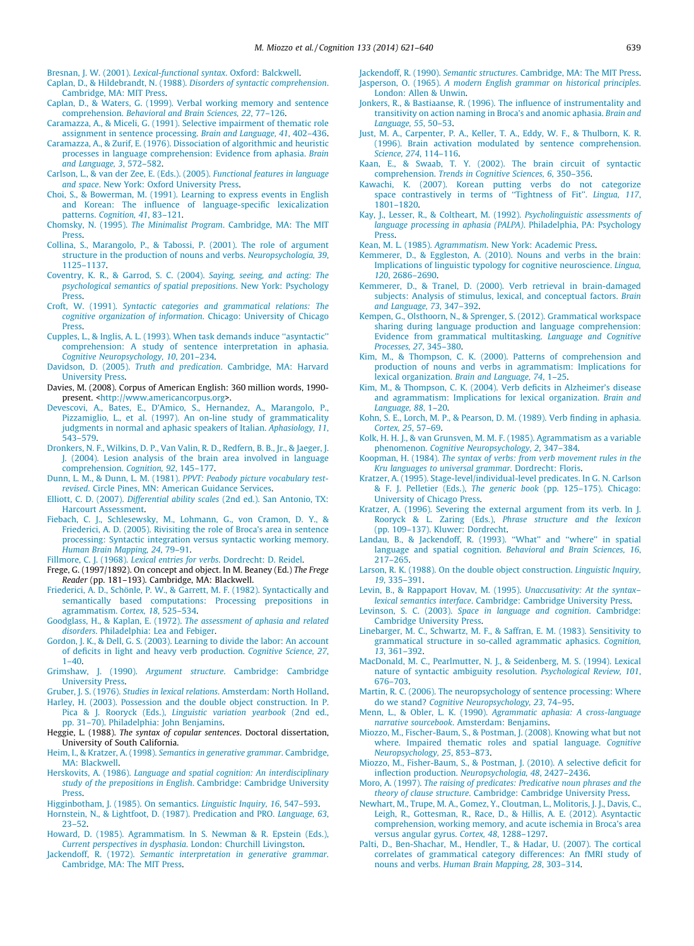<span id="page-18-0"></span>Bresnan, J. W. (2001). [Lexical-functional syntax](http://refhub.elsevier.com/S0010-0277(14)00161-9/h0080). Oxford: Balckwell.

[Caplan, D., & Hildebrandt, N. \(1988\).](http://refhub.elsevier.com/S0010-0277(14)00161-9/h0090) Disorders of syntactic comprehension. [Cambridge, MA: MIT Press.](http://refhub.elsevier.com/S0010-0277(14)00161-9/h0090)

- [Caplan, D., & Waters, G. \(1999\). Verbal working memory and sentence](http://refhub.elsevier.com/S0010-0277(14)00161-9/h0095) comprehension. [Behavioral and Brain Sciences, 22](http://refhub.elsevier.com/S0010-0277(14)00161-9/h0095), 77–126.
- [Caramazza, A., & Miceli, G. \(1991\). Selective impairment of thematic role](http://refhub.elsevier.com/S0010-0277(14)00161-9/h0100) [assignment in sentence processing.](http://refhub.elsevier.com/S0010-0277(14)00161-9/h0100) Brain and Language, 41, 402–436.
- [Caramazza, A., & Zurif, E. \(1976\). Dissociation of algorithmic and heuristic](http://refhub.elsevier.com/S0010-0277(14)00161-9/h0105) [processes in language comprehension: Evidence from aphasia.](http://refhub.elsevier.com/S0010-0277(14)00161-9/h0105) Brain [and Language, 3](http://refhub.elsevier.com/S0010-0277(14)00161-9/h0105), 572–582.

[Carlson, L., & van der Zee, E. \(Eds.\). \(2005\).](http://refhub.elsevier.com/S0010-0277(14)00161-9/h0110) Functional features in language and space[. New York: Oxford University Press](http://refhub.elsevier.com/S0010-0277(14)00161-9/h0110).

- [Choi, S., & Bowerman, M. \(1991\). Learning to express events in English](http://refhub.elsevier.com/S0010-0277(14)00161-9/h0115) [and Korean: The influence of language-specific lexicalization](http://refhub.elsevier.com/S0010-0277(14)00161-9/h0115) patterns. [Cognition, 41](http://refhub.elsevier.com/S0010-0277(14)00161-9/h0115), 83–121.
- Chomsky, N. (1995). The Minimalist Program[. Cambridge, MA: The MIT](http://refhub.elsevier.com/S0010-0277(14)00161-9/h0120) [Press](http://refhub.elsevier.com/S0010-0277(14)00161-9/h0120).
- [Collina, S., Marangolo, P., & Tabossi, P. \(2001\). The role of argument](http://refhub.elsevier.com/S0010-0277(14)00161-9/h0125) [structure in the production of nouns and verbs.](http://refhub.elsevier.com/S0010-0277(14)00161-9/h0125) Neuropsychologia, 39, [1125–1137](http://refhub.elsevier.com/S0010-0277(14)00161-9/h0125).
- [Coventry, K. R., & Garrod, S. C. \(2004\).](http://refhub.elsevier.com/S0010-0277(14)00161-9/h0130) Saying, seeing, and acting: The [psychological semantics of spatial prepositions](http://refhub.elsevier.com/S0010-0277(14)00161-9/h0130). New York: Psychology [Press](http://refhub.elsevier.com/S0010-0277(14)00161-9/h0130).
- Croft, W. (1991). [Syntactic categories and grammatical relations: The](http://refhub.elsevier.com/S0010-0277(14)00161-9/h0135) [cognitive organization of information](http://refhub.elsevier.com/S0010-0277(14)00161-9/h0135). Chicago: University of Chicago [Press](http://refhub.elsevier.com/S0010-0277(14)00161-9/h0135).
- [Cupples, L., & Inglis, A. L. \(1993\). When task demands induce ''asyntactic''](http://refhub.elsevier.com/S0010-0277(14)00161-9/h0140) [comprehension: A study of sentence interpretation in aphasia.](http://refhub.elsevier.com/S0010-0277(14)00161-9/h0140) [Cognitive Neuropsychology, 10](http://refhub.elsevier.com/S0010-0277(14)00161-9/h0140), 201–234.
- Davidson, D. (2005). Truth and predication[. Cambridge, MA: Harvard](http://refhub.elsevier.com/S0010-0277(14)00161-9/h0145) [University Press.](http://refhub.elsevier.com/S0010-0277(14)00161-9/h0145)
- Davies, M. (2008). Corpus of American English: 360 million words, 1990 present. <[http://www.americancorpus.org>](http://www.americancorpus.org).
- [Devescovi, A., Bates, E., D'Amico, S., Hernandez, A., Marangolo, P.,](http://refhub.elsevier.com/S0010-0277(14)00161-9/h0155) [Pizzamiglio, L., et al. \(1997\). An on-line study of grammaticality](http://refhub.elsevier.com/S0010-0277(14)00161-9/h0155) [judgments in normal and aphasic speakers of Italian.](http://refhub.elsevier.com/S0010-0277(14)00161-9/h0155) Aphasiology, 11, [543–579.](http://refhub.elsevier.com/S0010-0277(14)00161-9/h0155)
- [Dronkers, N. F., Wilkins, D. P., Van Valin, R. D., Redfern, B. B., Jr., & Jaeger, J.](http://refhub.elsevier.com/S0010-0277(14)00161-9/h0160) [J. \(2004\). Lesion analysis of the brain area involved in language](http://refhub.elsevier.com/S0010-0277(14)00161-9/h0160) [comprehension.](http://refhub.elsevier.com/S0010-0277(14)00161-9/h0160) Cognition, 92, 145–177.
- Dunn, L. M., & Dunn, L. M. (1981). [PPVT: Peabody picture vocabulary test](http://refhub.elsevier.com/S0010-0277(14)00161-9/h0165)revised[. Circle Pines, MN: American Guidance Services](http://refhub.elsevier.com/S0010-0277(14)00161-9/h0165).
- Elliott, C. D. (2007). Differential ability scales [\(2nd ed.\). San Antonio, TX:](http://refhub.elsevier.com/S0010-0277(14)00161-9/h0170) [Harcourt Assessment](http://refhub.elsevier.com/S0010-0277(14)00161-9/h0170).
- [Fiebach, C. J., Schlesewsky, M., Lohmann, G., von Cramon, D. Y., &](http://refhub.elsevier.com/S0010-0277(14)00161-9/h0180) [Friederici, A. D. \(2005\). Rivisiting the role of Broca's area in sentence](http://refhub.elsevier.com/S0010-0277(14)00161-9/h0180) [processing: Syntactic integration versus syntactic working memory.](http://refhub.elsevier.com/S0010-0277(14)00161-9/h0180) [Human Brain Mapping, 24](http://refhub.elsevier.com/S0010-0277(14)00161-9/h0180), 79–91.

Fillmore, C. J. (1968). [Lexical entries for verbs](http://refhub.elsevier.com/S0010-0277(14)00161-9/h0185). Dordrecht: D. Reidel.

- Frege, G. (1997/1892). On concept and object. In M. Beaney (Ed.) The Frege Reader (pp. 181–193). Cambridge, MA: Blackwell.
- [Friederici, A. D., Schönle, P. W., & Garrett, M. F. \(1982\). Syntactically and](http://refhub.elsevier.com/S0010-0277(14)00161-9/h0195) [semantically based computations: Processing prepositions in](http://refhub.elsevier.com/S0010-0277(14)00161-9/h0195) [agrammatism.](http://refhub.elsevier.com/S0010-0277(14)00161-9/h0195) Cortex, 18, 525–534.
- Goodglass, H., & Kaplan, E. (1972). [The assessment of aphasia and related](http://refhub.elsevier.com/S0010-0277(14)00161-9/h0200) disorders[. Philadelphia: Lea and Febiger](http://refhub.elsevier.com/S0010-0277(14)00161-9/h0200).
- [Gordon, J. K., & Dell, G. S. \(2003\). Learning to divide the labor: An account](http://refhub.elsevier.com/S0010-0277(14)00161-9/h0205) [of deficits in light and heavy verb production.](http://refhub.elsevier.com/S0010-0277(14)00161-9/h0205) Cognitive Science, 27,  $1-40.$
- Grimshaw, J. (1990). Argument structure[. Cambridge: Cambridge](http://refhub.elsevier.com/S0010-0277(14)00161-9/h0210) [University Press.](http://refhub.elsevier.com/S0010-0277(14)00161-9/h0210)
- Gruber, J. S. (1976). Studies in lexical relations[. Amsterdam: North Holland](http://refhub.elsevier.com/S0010-0277(14)00161-9/h0215).
- [Harley, H. \(2003\). Possession and the double object construction. In P.](http://refhub.elsevier.com/S0010-0277(14)00161-9/h0225) Pica & J. Rooryck (Eds.), [Linguistic variation yearbook](http://refhub.elsevier.com/S0010-0277(14)00161-9/h0225) (2nd ed., [pp. 31–70\). Philadelphia: John Benjamins.](http://refhub.elsevier.com/S0010-0277(14)00161-9/h0225)
- Heggie, L. (1988). The syntax of copular sentences. Doctoral dissertation, University of South California.
- Heim, I., & Kratzer, A. (1998). [Semantics in generative grammar](http://refhub.elsevier.com/S0010-0277(14)00161-9/h0230). Cambridge, [MA: Blackwell.](http://refhub.elsevier.com/S0010-0277(14)00161-9/h0230)
- Herskovits, A. (1986). [Language and spatial cognition: An interdisciplinary](http://refhub.elsevier.com/S0010-0277(14)00161-9/h0235) study of the prepositions in English[. Cambridge: Cambridge University](http://refhub.elsevier.com/S0010-0277(14)00161-9/h0235) **[Press](http://refhub.elsevier.com/S0010-0277(14)00161-9/h0235)**.
- [Higginbotham, J. \(1985\). On semantics.](http://refhub.elsevier.com/S0010-0277(14)00161-9/h0240) Linguistic Inquiry, 16, 547–593.
- [Hornstein, N., & Lightfoot, D. \(1987\). Predication and PRO.](http://refhub.elsevier.com/S0010-0277(14)00161-9/h0245) Language, 63, [23–52.](http://refhub.elsevier.com/S0010-0277(14)00161-9/h0245)
- [Howard, D. \(1985\). Agrammatism. In S. Newman & R. Epstein \(Eds.\),](http://refhub.elsevier.com/S0010-0277(14)00161-9/h0250) [Current perspectives in dysphasia](http://refhub.elsevier.com/S0010-0277(14)00161-9/h0250). London: Churchill Livingston.
- Jackendoff, R. (1972). [Semantic interpretation in generative grammar](http://refhub.elsevier.com/S0010-0277(14)00161-9/h0255). [Cambridge, MA: The MIT Press.](http://refhub.elsevier.com/S0010-0277(14)00161-9/h0255)
- Jackendoff, R. (1990). Semantic structures[. Cambridge, MA: The MIT Press.](http://refhub.elsevier.com/S0010-0277(14)00161-9/h0260) Jasperson, O. (1965). [A modern English grammar on historical principles](http://refhub.elsevier.com/S0010-0277(14)00161-9/h0605). [London: Allen & Unwin](http://refhub.elsevier.com/S0010-0277(14)00161-9/h0605).
- [Jonkers, R., & Bastiaanse, R. \(1996\). The influence of instrumentality and](http://refhub.elsevier.com/S0010-0277(14)00161-9/h0270) [transitivity on action naming in Broca's and anomic aphasia.](http://refhub.elsevier.com/S0010-0277(14)00161-9/h0270) Brain and [Language, 55](http://refhub.elsevier.com/S0010-0277(14)00161-9/h0270), 50–53.
- [Just, M. A., Carpenter, P. A., Keller, T. A., Eddy, W. F., & Thulborn, K. R.](http://refhub.elsevier.com/S0010-0277(14)00161-9/h0275) [\(1996\). Brain activation modulated by sentence comprehension.](http://refhub.elsevier.com/S0010-0277(14)00161-9/h0275) [Science, 274](http://refhub.elsevier.com/S0010-0277(14)00161-9/h0275), 114–116.
- [Kaan, E., & Swaab, T. Y. \(2002\). The brain circuit of syntactic](http://refhub.elsevier.com/S0010-0277(14)00161-9/h0280) comprehension. [Trends in Cognitive Sciences, 6](http://refhub.elsevier.com/S0010-0277(14)00161-9/h0280), 350–356.
- [Kawachi, K. \(2007\). Korean putting verbs do not categorize](http://refhub.elsevier.com/S0010-0277(14)00161-9/h0285) [space contrastively in terms of ''Tightness of Fit''.](http://refhub.elsevier.com/S0010-0277(14)00161-9/h0285) Lingua, 117, [1801–1820](http://refhub.elsevier.com/S0010-0277(14)00161-9/h0285).
- [Kay, J., Lesser, R., & Coltheart, M. \(1992\).](http://refhub.elsevier.com/S0010-0277(14)00161-9/h0290) Psycholinguistic assessments of [language processing in aphasia \(PALPA\)](http://refhub.elsevier.com/S0010-0277(14)00161-9/h0290). Philadelphia, PA: Psychology [Press](http://refhub.elsevier.com/S0010-0277(14)00161-9/h0290).
- Kean, M. L. (1985). Agrammatism[. New York: Academic Press.](http://refhub.elsevier.com/S0010-0277(14)00161-9/h0295)
- [Kemmerer, D., & Eggleston, A. \(2010\). Nouns and verbs in the brain:](http://refhub.elsevier.com/S0010-0277(14)00161-9/h0300) [Implications of linguistic typology for cognitive neuroscience.](http://refhub.elsevier.com/S0010-0277(14)00161-9/h0300) Lingua, 120[, 2686–2690.](http://refhub.elsevier.com/S0010-0277(14)00161-9/h0300)
- [Kemmerer, D., & Tranel, D. \(2000\). Verb retrieval in brain-damaged](http://refhub.elsevier.com/S0010-0277(14)00161-9/h0305) [subjects: Analysis of stimulus, lexical, and conceptual factors.](http://refhub.elsevier.com/S0010-0277(14)00161-9/h0305) Brain [and Language, 73](http://refhub.elsevier.com/S0010-0277(14)00161-9/h0305), 347–392.
- [Kempen, G., Olsthoorn, N., & Sprenger, S. \(2012\). Grammatical workspace](http://refhub.elsevier.com/S0010-0277(14)00161-9/h0310) [sharing during language production and language comprehension:](http://refhub.elsevier.com/S0010-0277(14)00161-9/h0310) [Evidence from grammatical multitasking.](http://refhub.elsevier.com/S0010-0277(14)00161-9/h0310) Language and Cognitive [Processes, 27](http://refhub.elsevier.com/S0010-0277(14)00161-9/h0310), 345–380.
- [Kim, M., & Thompson, C. K. \(2000\). Patterns of comprehension and](http://refhub.elsevier.com/S0010-0277(14)00161-9/h0315) [production of nouns and verbs in agrammatism: Implications for](http://refhub.elsevier.com/S0010-0277(14)00161-9/h0315) lexical organization. [Brain and Language, 74](http://refhub.elsevier.com/S0010-0277(14)00161-9/h0315), 1–25.
- [Kim, M., & Thompson, C. K. \(2004\). Verb deficits in Alzheimer's disease](http://refhub.elsevier.com/S0010-0277(14)00161-9/h0320) [and agrammatism: Implications for lexical organization.](http://refhub.elsevier.com/S0010-0277(14)00161-9/h0320) Brain and [Language, 88](http://refhub.elsevier.com/S0010-0277(14)00161-9/h0320), 1–20.
- [Kohn, S. E., Lorch, M. P., & Pearson, D. M. \(1989\). Verb finding in aphasia.](http://refhub.elsevier.com/S0010-0277(14)00161-9/h0325) [Cortex, 25](http://refhub.elsevier.com/S0010-0277(14)00161-9/h0325), 57–69.
- [Kolk, H. H. J., & van Grunsven, M. M. F. \(1985\). Agrammatism as a variable](http://refhub.elsevier.com/S0010-0277(14)00161-9/h0330) phenomenon. [Cognitive Neuropsychology, 2](http://refhub.elsevier.com/S0010-0277(14)00161-9/h0330), 347–384.
- Koopman, H. (1984). [The syntax of verbs: from verb movement rules in the](http://refhub.elsevier.com/S0010-0277(14)00161-9/h0335) [Kru languages to universal grammar](http://refhub.elsevier.com/S0010-0277(14)00161-9/h0335). Dordrecht: Floris.
- [Kratzer, A. \(1995\). Stage-level/individual-level predicates. In G. N. Carlson](http://refhub.elsevier.com/S0010-0277(14)00161-9/h0340) & F. J. Pelletier (Eds.), The generic book [\(pp. 125–175\). Chicago:](http://refhub.elsevier.com/S0010-0277(14)00161-9/h0340) [University of Chicago Press.](http://refhub.elsevier.com/S0010-0277(14)00161-9/h0340)
- [Kratzer, A. \(1996\). Severing the external argument from its verb. In J.](http://refhub.elsevier.com/S0010-0277(14)00161-9/h0345) Rooryck & L. Zaring (Eds.), [Phrase structure and the lexicon](http://refhub.elsevier.com/S0010-0277(14)00161-9/h0345) [\(pp. 109–137\). Kluwer: Dordrecht](http://refhub.elsevier.com/S0010-0277(14)00161-9/h0345).
- [Landau, B., & Jackendoff, R. \(1993\). ''What'' and ''where'' in spatial](http://refhub.elsevier.com/S0010-0277(14)00161-9/h0350) language and spatial cognition. [Behavioral and Brain Sciences, 16](http://refhub.elsevier.com/S0010-0277(14)00161-9/h0350), [217–265.](http://refhub.elsevier.com/S0010-0277(14)00161-9/h0350)
- [Larson, R. K. \(1988\). On the double object construction.](http://refhub.elsevier.com/S0010-0277(14)00161-9/h0355) Linguistic Inquiry, 19[, 335–391](http://refhub.elsevier.com/S0010-0277(14)00161-9/h0355).
- [Levin, B., & Rappaport Hovav, M. \(1995\).](http://refhub.elsevier.com/S0010-0277(14)00161-9/h0360) Unaccusativity: At the syntaxlexical semantics interface[. Cambridge: Cambridge University Press.](http://refhub.elsevier.com/S0010-0277(14)00161-9/h0360)
- Levinson, S. C. (2003). [Space in language and cognition](http://refhub.elsevier.com/S0010-0277(14)00161-9/h0365). Cambridge: [Cambridge University Press.](http://refhub.elsevier.com/S0010-0277(14)00161-9/h0365)
- [Linebarger, M. C., Schwartz, M. F., & Saffran, E. M. \(1983\). Sensitivity to](http://refhub.elsevier.com/S0010-0277(14)00161-9/h0370) [grammatical structure in so-called agrammatic aphasics.](http://refhub.elsevier.com/S0010-0277(14)00161-9/h0370) Cognition, 13[, 361–392](http://refhub.elsevier.com/S0010-0277(14)00161-9/h0370).
- [MacDonald, M. C., Pearlmutter, N. J., & Seidenberg, M. S. \(1994\). Lexical](http://refhub.elsevier.com/S0010-0277(14)00161-9/h0375) [nature of syntactic ambiguity resolution.](http://refhub.elsevier.com/S0010-0277(14)00161-9/h0375) Psychological Review, 101, [676–703.](http://refhub.elsevier.com/S0010-0277(14)00161-9/h0375)
- [Martin, R. C. \(2006\). The neuropsychology of sentence processing: Where](http://refhub.elsevier.com/S0010-0277(14)00161-9/h0380) do we stand? [Cognitive Neuropsychology, 23](http://refhub.elsevier.com/S0010-0277(14)00161-9/h0380), 74–95.
- Menn, L., & Obler, L. K. (1990). [Agrammatic aphasia: A cross-language](http://refhub.elsevier.com/S0010-0277(14)00161-9/h0385) narrative sourcebook[. Amsterdam: Benjamins](http://refhub.elsevier.com/S0010-0277(14)00161-9/h0385).
- [Miozzo, M., Fischer-Baum, S., & Postman, J. \(2008\). Knowing what but not](http://refhub.elsevier.com/S0010-0277(14)00161-9/h0390) [where. Impaired thematic roles and spatial language.](http://refhub.elsevier.com/S0010-0277(14)00161-9/h0390) Cognitive [Neuropsychology, 25](http://refhub.elsevier.com/S0010-0277(14)00161-9/h0390), 853–873.
- [Miozzo, M., Fisher-Baum, S., & Postman, J. \(2010\). A selective deficit for](http://refhub.elsevier.com/S0010-0277(14)00161-9/h0395) [inflection production.](http://refhub.elsevier.com/S0010-0277(14)00161-9/h0395) Neuropsychologia, 48, 2427–2436.
- Moro, A. (1997). [The raising of predicates: Predicative noun phrases and the](http://refhub.elsevier.com/S0010-0277(14)00161-9/h0405) theory of clause structure[. Cambridge: Cambridge University Press.](http://refhub.elsevier.com/S0010-0277(14)00161-9/h0405)
- [Newhart, M., Trupe, M. A., Gomez, Y., Cloutman, L., Molitoris, J. J., Davis, C.,](http://refhub.elsevier.com/S0010-0277(14)00161-9/h9000) [Leigh, R., Gottesman, R., Race, D., & Hillis, A. E. \(2012\). Asyntactic](http://refhub.elsevier.com/S0010-0277(14)00161-9/h9000) [comprehension, working memory, and acute ischemia in Broca's area](http://refhub.elsevier.com/S0010-0277(14)00161-9/h9000) [versus angular gyrus.](http://refhub.elsevier.com/S0010-0277(14)00161-9/h9000) Cortex, 48, 1288–1297.
- [Palti, D., Ben-Shachar, M., Hendler, T., & Hadar, U. \(2007\). The cortical](http://refhub.elsevier.com/S0010-0277(14)00161-9/h0415) [correlates of grammatical category differences: An fMRI study of](http://refhub.elsevier.com/S0010-0277(14)00161-9/h0415) nouns and verbs. [Human Brain Mapping, 28](http://refhub.elsevier.com/S0010-0277(14)00161-9/h0415), 303–314.